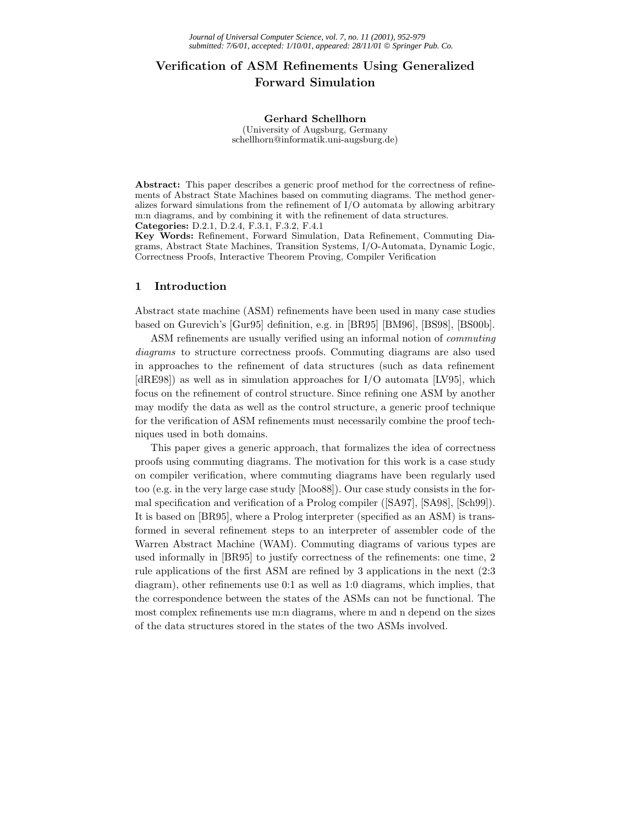# **Verification of ASM Refinements Using Generalized Forward Simulation**

#### **Gerhard Schellhorn**

(University of Augsburg, Germany schellhorn@informatik.uni-augsburg.de)

**Abstract:** This paper describes a generic proof method for the correctness of refinements of Abstract State Machines based on commuting diagrams. The method generalizes forward simulations from the refinement of I/O automata by allowing arbitrary m:n diagrams, and by combining it with the refinement of data structures. **Categories:** D.2.1, D.2.4, F.3.1, F.3.2, F.4.1

**Key Words:** Refinement, Forward Simulation, Data Refinement, Commuting Diagrams, Abstract State Machines, Transition Systems, I/O-Automata, Dynamic Logic, Correctness Proofs, Interactive Theorem Proving, Compiler Verification

# **1 Introduction**

Abstract state machine (ASM) refinements have been used in many case studies based on Gurevich's [Gur95] definition, e.g. in [BR95] [BM96], [BS98], [BS00b].

ASM refinements are usually verified using an informal notion of *commuting diagrams* to structure correctness proofs. Commuting diagrams are also used in approaches to the refinement of data structures (such as data refinement [dRE98]) as well as in simulation approaches for I/O automata [LV95], which focus on the refinement of control structure. Since refining one ASM by another may modify the data as well as the control structure, a generic proof technique for the verification of ASM refinements must necessarily combine the proof techniques used in both domains.

This paper gives a generic approach, that formalizes the idea of correctness proofs using commuting diagrams. The motivation for this work is a case study on compiler verification, where commuting diagrams have been regularly used too (e.g. in the very large case study [Moo88]). Our case study consists in the formal specification and verification of a Prolog compiler ([SA97], [SA98], [Sch99]). It is based on [BR95], where a Prolog interpreter (specified as an ASM) is transformed in several refinement steps to an interpreter of assembler code of the Warren Abstract Machine (WAM). Commuting diagrams of various types are used informally in [BR95] to justify correctness of the refinements: one time, 2 rule applications of the first ASM are refined by 3 applications in the next (2:3 diagram), other refinements use 0:1 as well as 1:0 diagrams, which implies, that the correspondence between the states of the ASMs can not be functional. The most complex refinements use m:n diagrams, where m and n depend on the sizes of the data structures stored in the states of the two ASMs involved.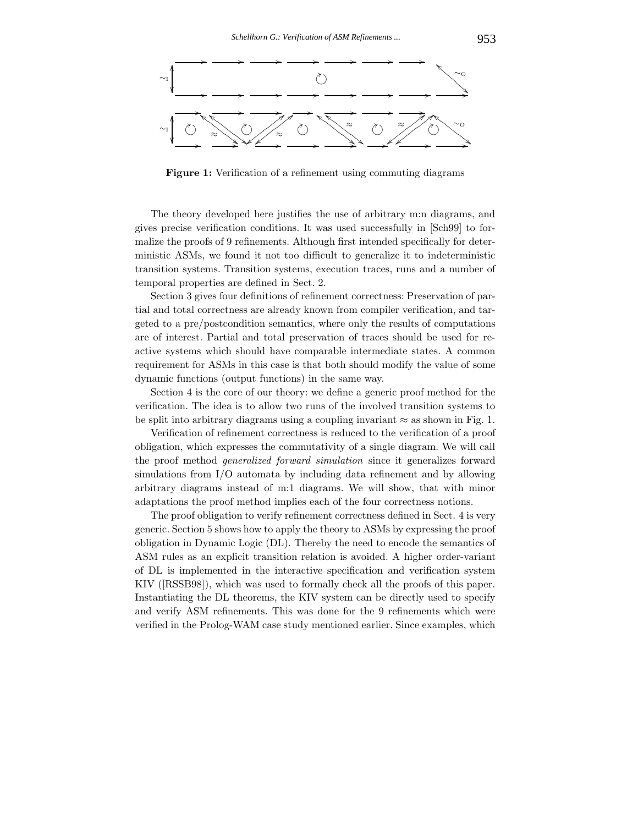

**Figure 1:** Verification of a refinement using commuting diagrams

The theory developed here justifies the use of arbitrary m:n diagrams, and gives precise verification conditions. It was used successfully in [Sch99] to formalize the proofs of 9 refinements. Although first intended specifically for deterministic ASMs, we found it not too difficult to generalize it to indeterministic transition systems. Transition systems, execution traces, runs and a number of temporal properties are defined in Sect. 2.

Section 3 gives four definitions of refinement correctness: Preservation of partial and total correctness are already known from compiler verification, and targeted to a pre/postcondition semantics, where only the results of computations are of interest. Partial and total preservation of traces should be used for reactive systems which should have comparable intermediate states. A common requirement for ASMs in this case is that both should modify the value of some dynamic functions (output functions) in the same way.

Section 4 is the core of our theory: we define a generic proof method for the verification. The idea is to allow two runs of the involved transition systems to be split into arbitrary diagrams using a coupling invariant  $\approx$  as shown in Fig. 1.

Verification of refinement correctness is reduced to the verification of a proof obligation, which expresses the commutativity of a single diagram. We will call the proof method *generalized forward simulation* since it generalizes forward simulations from I/O automata by including data refinement and by allowing arbitrary diagrams instead of m:1 diagrams. We will show, that with minor adaptations the proof method implies each of the four correctness notions.

The proof obligation to verify refinement correctness defined in Sect. 4 is very generic. Section 5 shows how to apply the theory to ASMs by expressing the proof obligation in Dynamic Logic (DL). Thereby the need to encode the semantics of ASM rules as an explicit transition relation is avoided. A higher order-variant of DL is implemented in the interactive specification and verification system KIV ([RSSB98]), which was used to formally check all the proofs of this paper. Instantiating the DL theorems, the KIV system can be directly used to specify and verify ASM refinements. This was done for the 9 refinements which were verified in the Prolog-WAM case study mentioned earlier. Since examples, which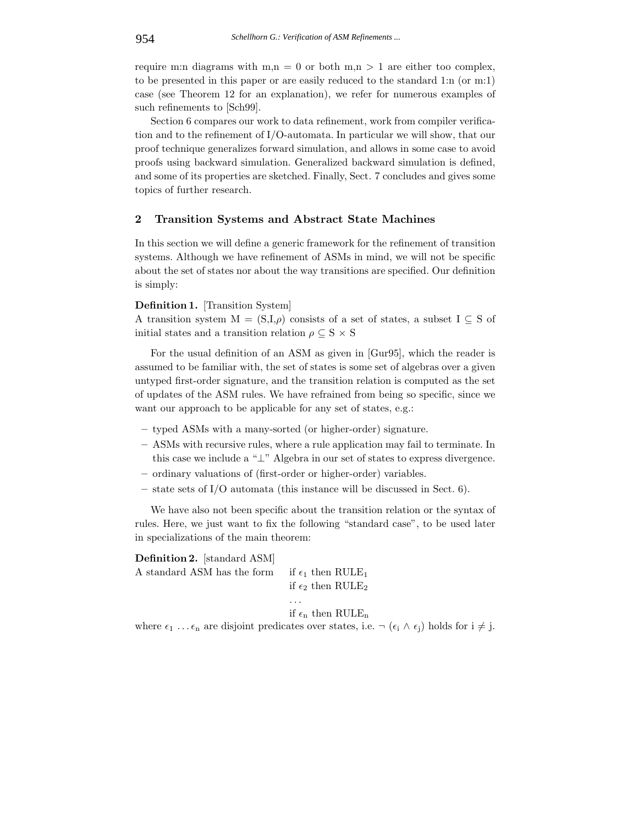require m:n diagrams with  $m,n = 0$  or both  $m,n > 1$  are either too complex, to be presented in this paper or are easily reduced to the standard 1:n (or m:1) case (see Theorem 12 for an explanation), we refer for numerous examples of such refinements to [Sch99].

Section 6 compares our work to data refinement, work from compiler verification and to the refinement of I/O-automata. In particular we will show, that our proof technique generalizes forward simulation, and allows in some case to avoid proofs using backward simulation. Generalized backward simulation is defined, and some of its properties are sketched. Finally, Sect. 7 concludes and gives some topics of further research.

# **2 Transition Systems and Abstract State Machines**

In this section we will define a generic framework for the refinement of transition systems. Although we have refinement of ASMs in mind, we will not be specific about the set of states nor about the way transitions are specified. Our definition is simply:

### **Definition 1.** [Transition System]

A transition system  $M = (S,I,\rho)$  consists of a set of states, a subset  $I \subseteq S$  of initial states and a transition relation  $\rho \subseteq S \times S$ 

For the usual definition of an ASM as given in [Gur95], which the reader is assumed to be familiar with, the set of states is some set of algebras over a given untyped first-order signature, and the transition relation is computed as the set of updates of the ASM rules. We have refrained from being so specific, since we want our approach to be applicable for any set of states, e.g.:

- **–** typed ASMs with a many-sorted (or higher-order) signature.
- **–** ASMs with recursive rules, where a rule application may fail to terminate. In this case we include a "⊥" Algebra in our set of states to express divergence.
- **–** ordinary valuations of (first-order or higher-order) variables.
- **–** state sets of I/O automata (this instance will be discussed in Sect. 6).

We have also not been specific about the transition relation or the syntax of rules. Here, we just want to fix the following "standard case", to be used later in specializations of the main theorem:

**Definition 2.** [standard ASM] A standard ASM has the form if  $\epsilon_1$  then RULE<sub>1</sub> if  $\epsilon_2$  then RULE<sub>2</sub> ... if  $\epsilon_n$  then RULE<sub>n</sub> where  $\epsilon_1 \ldots \epsilon_n$  are disjoint predicates over states, i.e.  $\neg (\epsilon_i \wedge \epsilon_j)$  holds for  $i \neq j$ .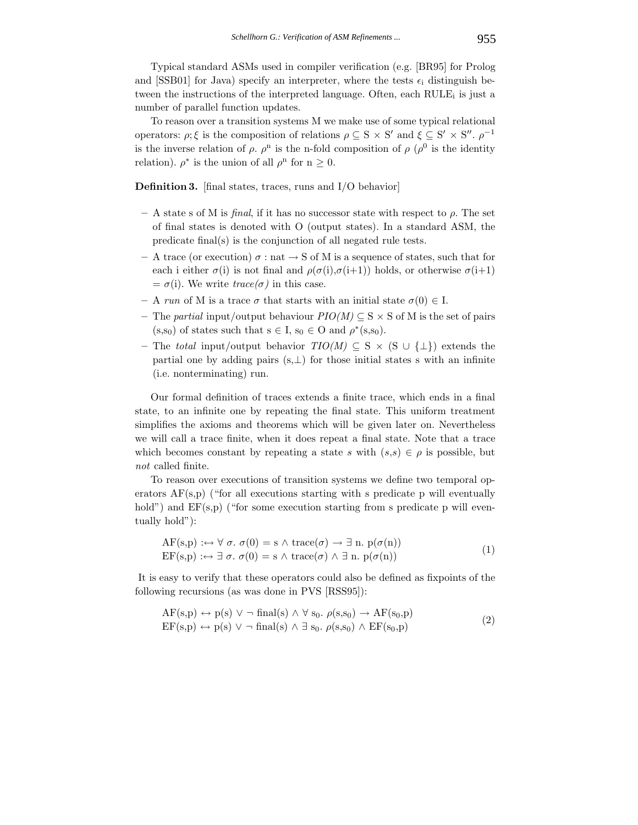Typical standard ASMs used in compiler verification (e.g. [BR95] for Prolog and [SSB01] for Java) specify an interpreter, where the tests  $\epsilon_i$  distinguish between the instructions of the interpreted language. Often, each  $RULE_i$  is just a number of parallel function updates.

To reason over a transition systems M we make use of some typical relational operators:  $\rho$ ;  $\xi$  is the composition of relations  $\rho \subseteq S \times S'$  and  $\xi \subseteq S' \times S''$ .  $\rho^{-1}$ is the inverse relation of  $\rho$ .  $\rho^{n}$  is the n-fold composition of  $\rho$  ( $\rho^{0}$  is the identity relation).  $\rho^*$  is the union of all  $\rho^n$  for  $n \geq 0$ .

**Definition 3.** [final states, traces, runs and I/O behavior]

- **–** A state s of M is *final*, if it has no successor state with respect to ρ. The set of final states is denoted with O (output states). In a standard ASM, the predicate final(s) is the conjunction of all negated rule tests.
- **–** A trace (or execution) σ : nat → S of M is a sequence of states, such that for each i either  $\sigma(i)$  is not final and  $\rho(\sigma(i), \sigma(i+1))$  holds, or otherwise  $\sigma(i+1)$  $= \sigma(i)$ . We write *trace(* $\sigma$ ) in this case.
- **–** A *run* of M is a trace σ that starts with an initial state σ(0) ∈ I.
- **–** The *partial* input/output behaviour *PIO(M)* ⊆ S × S of M is the set of pairs  $(s,s_0)$  of states such that  $s \in I$ ,  $s_0 \in O$  and  $\rho^*(s,s_0)$ .
- **–** The *total* input/output behavior *TIO(M)* ⊆ S × (S ∪ {⊥}) extends the partial one by adding pairs  $(s, \perp)$  for those initial states s with an infinite (i.e. nonterminating) run.

Our formal definition of traces extends a finite trace, which ends in a final state, to an infinite one by repeating the final state. This uniform treatment simplifies the axioms and theorems which will be given later on. Nevertheless we will call a trace finite, when it does repeat a final state. Note that a trace which becomes constant by repeating a state s with  $(s,s) \in \rho$  is possible, but *not* called finite.

To reason over executions of transition systems we define two temporal operators  $AF(s,p)$  ("for all executions starting with s predicate p will eventually hold") and  $EF(s,p)$  ("for some execution starting from s predicate p will eventually hold"):

$$
AF(s,p) : \leftrightarrow \forall \sigma. \ \sigma(0) = s \land \text{trace}(\sigma) \to \exists \text{ n. } p(\sigma(n))
$$
  
\n
$$
EF(s,p) : \leftrightarrow \exists \sigma. \ \sigma(0) = s \land \text{trace}(\sigma) \land \exists \text{ n. } p(\sigma(n))
$$
\n(1)

It is easy to verify that these operators could also be defined as fixpoints of the following recursions (as was done in PVS [RSS95]):

$$
AF(s,p) \leftrightarrow p(s) \lor \neg \text{ final}(s) \land \forall s_0. \rho(s,s_0) \to AF(s_0,p)
$$
  
\n
$$
EF(s,p) \leftrightarrow p(s) \lor \neg \text{ final}(s) \land \exists s_0. \rho(s,s_0) \land EF(s_0,p)
$$
\n(2)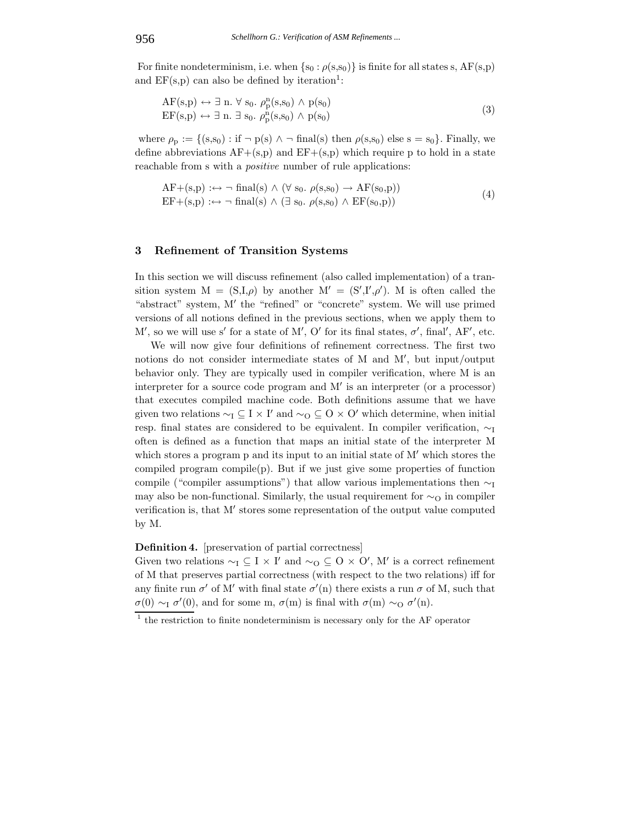For finite nondeterminism, i.e. when  $\{s_0 : \rho(s,s_0)\}\$ is finite for all states s, AF(s,p) and  $EF(s,p)$  can also be defined by iteration<sup>1</sup>:

$$
AF(s,p) \leftrightarrow \exists n. \forall s_0. \rho_p^n(s,s_0) \land p(s_0)
$$
  
\n
$$
EF(s,p) \leftrightarrow \exists n. \exists s_0. \rho_p^n(s,s_0) \land p(s_0)
$$
\n(3)

where  $\rho_p := \{(s,s_0) : \text{if } \neg p(s) \land \neg \text{ final}(s) \text{ then } \rho(s,s_0) \text{ else } s = s_0\}.$  Finally, we define abbreviations  $AF+(s,p)$  and  $EF+(s,p)$  which require p to hold in a state reachable from s with a *positive* number of rule applications:

$$
AF+(s,p) :\leftrightarrow \neg \text{ final}(s) \land (\forall s_0. \rho(s,s_0) \to AF(s_0,p))
$$
  
EF+(s,p) :\leftrightarrow \neg \text{ final}(s) \land (\exists s\_0. \rho(s,s\_0) \land EF(s\_0,p)) (4)

# **3 Refinement of Transition Systems**

In this section we will discuss refinement (also called implementation) of a transition system  $M = (S,I,\rho)$  by another  $M' = (S',I',\rho')$ . M is often called the "abstract" system, M' the "refined" or "concrete" system. We will use primed versions of all notions defined in the previous sections, when we apply them to M', so we will use s' for a state of M', O' for its final states,  $\sigma'$ , final', AF', etc.

We will now give four definitions of refinement correctness. The first two notions do not consider intermediate states of M and M , but input/output behavior only. They are typically used in compiler verification, where M is an interpreter for a source code program and  $M'$  is an interpreter (or a processor) that executes compiled machine code. Both definitions assume that we have given two relations  $\sim_I \subseteq I \times I'$  and  $\sim_O \subseteq O \times O'$  which determine, when initial resp. final states are considered to be equivalent. In compiler verification, ∼<sup>I</sup> often is defined as a function that maps an initial state of the interpreter M which stores a program p and its input to an initial state of  $M'$  which stores the compiled program compile(p). But if we just give some properties of function compile ("compiler assumptions") that allow various implementations then  $\sim_I$ may also be non-functional. Similarly, the usual requirement for  $\sim_Q$  in compiler verification is, that  $M'$  stores some representation of the output value computed by M.

### **Definition 4.** [preservation of partial correctness]

Given two relations  $\sim_I \subseteq I \times I'$  and  $\sim_O \subseteq O \times O'$ , M' is a correct refinement of M that preserves partial correctness (with respect to the two relations) iff for any finite run  $\sigma'$  of M' with final state  $\sigma'(n)$  there exists a run  $\sigma$  of M, such that  $\sigma(0) \sim_{I} \sigma'(0)$ , and for some m,  $\sigma(m)$  is final with  $\sigma(m) \sim_{O} \sigma'(n)$ .

 $\frac{1}{1}$  the restriction to finite nondeterminism is necessary only for the AF operator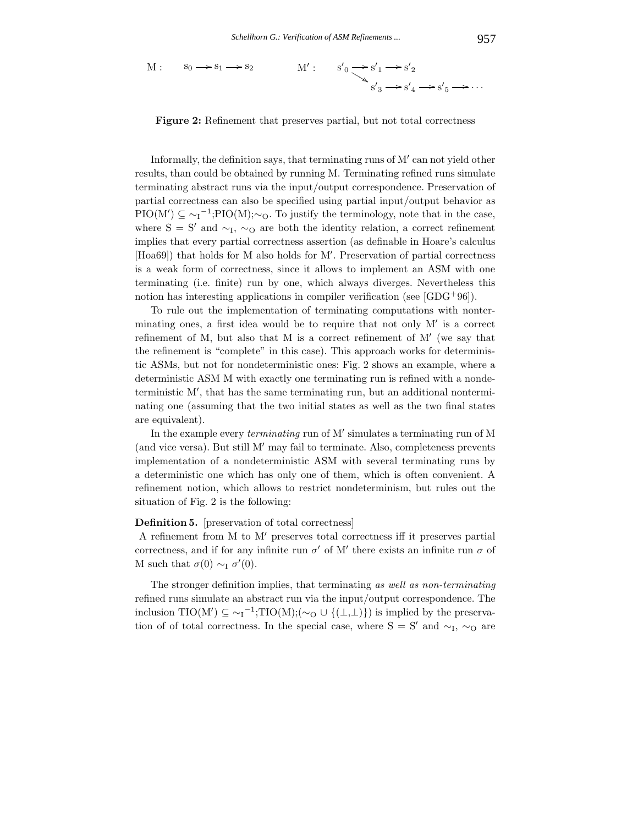$$
M: \quad s_0 \longrightarrow s_1 \longrightarrow s_2 \qquad M': \quad s'_0 \longrightarrow s'_1 \longrightarrow s'_2
$$

$$
s'_3 \longrightarrow s'_4 \longrightarrow s'_5 \longrightarrow \cdots
$$

**Figure 2:** Refinement that preserves partial, but not total correctness

Informally, the definition says, that terminating runs of M' can not yield other results, than could be obtained by running M. Terminating refined runs simulate terminating abstract runs via the input/output correspondence. Preservation of partial correctness can also be specified using partial input/output behavior as  $\text{PIO}(M') \subseteq \sim_I^{-1}; \text{PIO}(M); \sim_O$ . To justify the terminology, note that in the case, where S = S' and  $\sim$ <sub>I</sub>,  $\sim$ <sub>O</sub> are both the identity relation, a correct refinement implies that every partial correctness assertion (as definable in Hoare's calculus [Hoa69]) that holds for M also holds for M . Preservation of partial correctness is a weak form of correctness, since it allows to implement an ASM with one terminating (i.e. finite) run by one, which always diverges. Nevertheless this notion has interesting applications in compiler verification (see  $[GDG^+96]$ ).

To rule out the implementation of terminating computations with nonterminating ones, a first idea would be to require that not only  $M'$  is a correct refinement of M, but also that M is a correct refinement of  $M'$  (we say that the refinement is "complete" in this case). This approach works for deterministic ASMs, but not for nondeterministic ones: Fig. 2 shows an example, where a deterministic ASM M with exactly one terminating run is refined with a nondeterministic M , that has the same terminating run, but an additional nonterminating one (assuming that the two initial states as well as the two final states are equivalent).

In the example every *terminating* run of M' simulates a terminating run of M (and vice versa). But still  $M'$  may fail to terminate. Also, completeness prevents implementation of a nondeterministic ASM with several terminating runs by a deterministic one which has only one of them, which is often convenient. A refinement notion, which allows to restrict nondeterminism, but rules out the situation of Fig. 2 is the following:

### **Definition 5.** [preservation of total correctness]

A refinement from M to M' preserves total correctness iff it preserves partial correctness, and if for any infinite run  $\sigma'$  of M' there exists an infinite run  $\sigma$  of M such that  $\sigma(0) \sim_{I} \sigma'(0)$ .

The stronger definition implies, that terminating *as well as non-terminating* refined runs simulate an abstract run via the input/output correspondence. The inclusion TIO(M')  $\subseteq \sim_I^{-1}$ ;TIO(M);( $\sim_O \cup \{(\perp,\perp)\}\$  is implied by the preservation of of total correctness. In the special case, where  $S = S'$  and  $\sim_I$ ,  $\sim_O$  are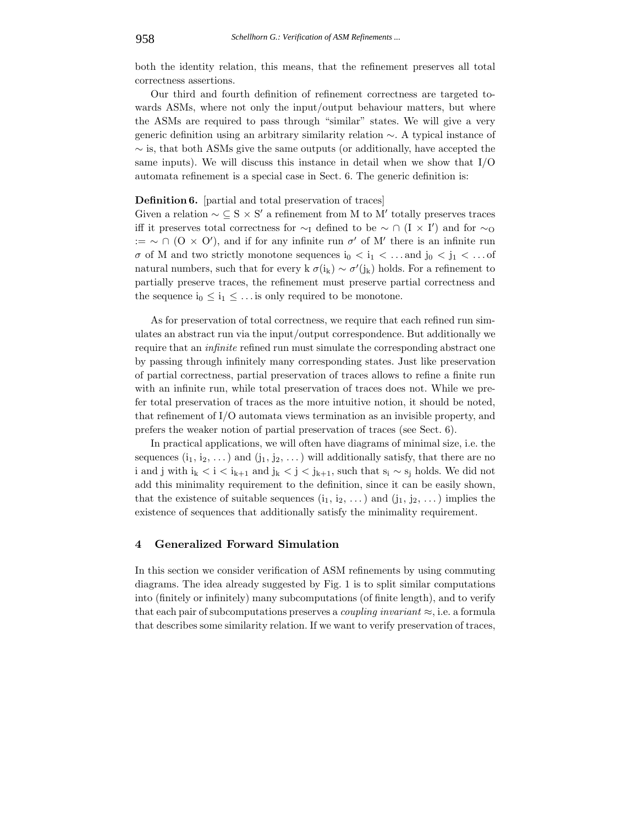both the identity relation, this means, that the refinement preserves all total correctness assertions.

Our third and fourth definition of refinement correctness are targeted towards ASMs, where not only the input/output behaviour matters, but where the ASMs are required to pass through "similar" states. We will give a very generic definition using an arbitrary similarity relation ∼. A typical instance of  $\sim$  is, that both ASMs give the same outputs (or additionally, have accepted the same inputs). We will discuss this instance in detail when we show that  $I/O$ automata refinement is a special case in Sect. 6. The generic definition is:

# **Definition 6.** [partial and total preservation of traces]

Given a relation  $\sim \mathcal{L} S \times S'$  a refinement from M to M' totally preserves traces iff it preserves total correctness for  $\sim_I$  defined to be  $\sim \cap$  (I × I') and for  $\sim_O$ := ~ ∩ (O × O'), and if for any infinite run  $\sigma'$  of M' there is an infinite run  $\sigma$  of M and two strictly monotone sequences i<sub>0</sub>  $\lt i_1 \lt \ldots$  and j<sub>0</sub>  $\lt j_1 \lt \ldots$  of natural numbers, such that for every k  $\sigma(i_k) \sim \sigma'(j_k)$  holds. For a refinement to partially preserve traces, the refinement must preserve partial correctness and the sequence  $i_0 \leq i_1 \leq \ldots$  is only required to be monotone.

As for preservation of total correctness, we require that each refined run simulates an abstract run via the input/output correspondence. But additionally we require that an *infinite* refined run must simulate the corresponding abstract one by passing through infinitely many corresponding states. Just like preservation of partial correctness, partial preservation of traces allows to refine a finite run with an infinite run, while total preservation of traces does not. While we prefer total preservation of traces as the more intuitive notion, it should be noted, that refinement of I/O automata views termination as an invisible property, and prefers the weaker notion of partial preservation of traces (see Sect. 6).

In practical applications, we will often have diagrams of minimal size, i.e. the sequences  $(i_1, i_2, \ldots)$  and  $(j_1, j_2, \ldots)$  will additionally satisfy, that there are no i and j with  $i_k < i < i_{k+1}$  and  $j_k < j < j_{k+1}$ , such that  $s_i \sim s_j$  holds. We did not add this minimality requirement to the definition, since it can be easily shown, that the existence of suitable sequences  $(i_1, i_2, \ldots)$  and  $(j_1, j_2, \ldots)$  implies the existence of sequences that additionally satisfy the minimality requirement.

# **4 Generalized Forward Simulation**

In this section we consider verification of ASM refinements by using commuting diagrams. The idea already suggested by Fig. 1 is to split similar computations into (finitely or infinitely) many subcomputations (of finite length), and to verify that each pair of subcomputations preserves a *coupling invariant* ≈, i.e. a formula that describes some similarity relation. If we want to verify preservation of traces,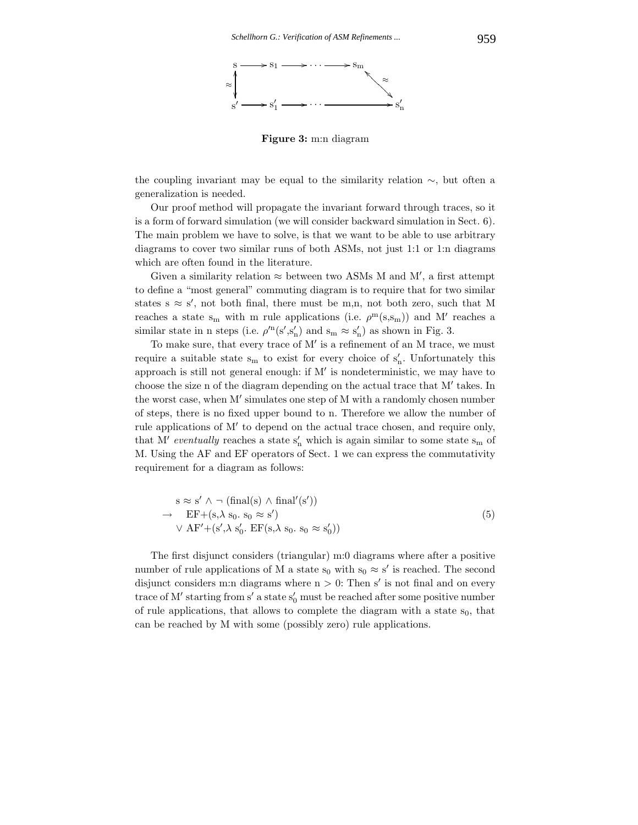

**Figure 3:** m:n diagram

the coupling invariant may be equal to the similarity relation ∼, but often a generalization is needed.

Our proof method will propagate the invariant forward through traces, so it is a form of forward simulation (we will consider backward simulation in Sect. 6). The main problem we have to solve, is that we want to be able to use arbitrary diagrams to cover two similar runs of both ASMs, not just 1:1 or 1:n diagrams which are often found in the literature.

Given a similarity relation  $\approx$  between two ASMs M and M', a first attempt to define a "most general" commuting diagram is to require that for two similar states  $s \approx s'$ , not both final, there must be m,n, not both zero, such that M reaches a state s<sub>m</sub> with m rule applications (i.e.  $\rho^m(s,s_m)$ ) and M' reaches a similar state in n steps (i.e.  $\rho'^{\rm n}(s', s'_{\rm n})$  and  $s_{\rm m} \approx s'_{\rm n}$ ) as shown in Fig. 3.

To make sure, that every trace of  $M'$  is a refinement of an M trace, we must require a suitable state  $s_m$  to exist for every choice of  $s'_n$ . Unfortunately this approach is still not general enough: if  $M'$  is nondeterministic, we may have to choose the size n of the diagram depending on the actual trace that  $M'$  takes. In the worst case, when  $M'$  simulates one step of  $M$  with a randomly chosen number of steps, there is no fixed upper bound to n. Therefore we allow the number of rule applications of M' to depend on the actual trace chosen, and require only, that M' *eventually* reaches a state  $s'_n$  which is again similar to some state  $s_m$  of M. Using the AF and EF operators of Sect. 1 we can express the commutativity requirement for a diagram as follows:

$$
s \approx s' \land \neg (\text{final}(s) \land \text{final}'(s')) \n\to EF + (s, \lambda s_0. s_0 \approx s') \n\lor AF' + (s', \lambda s'_0. EF(s, \lambda s_0. s_0 \approx s'_0))
$$
\n(5)

The first disjunct considers (triangular) m:0 diagrams where after a positive number of rule applications of M a state  $s_0$  with  $s_0 \approx s'$  is reached. The second disjunct considers m:n diagrams where  $n > 0$ : Then s' is not final and on every trace of M' starting from s' a state  $s'_0$  must be reached after some positive number of rule applications, that allows to complete the diagram with a state  $s_0$ , that can be reached by M with some (possibly zero) rule applications.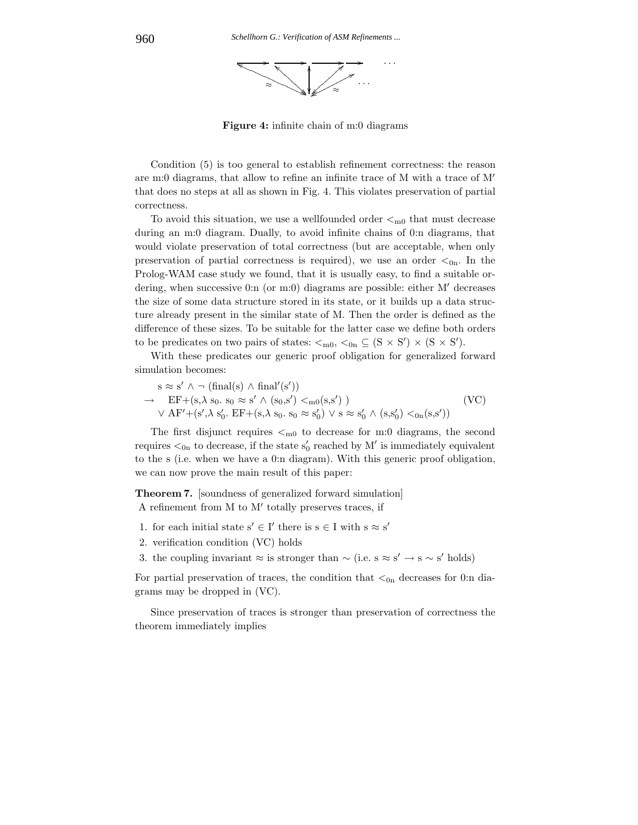

**Figure 4:** infinite chain of m:0 diagrams

Condition (5) is too general to establish refinement correctness: the reason are m:0 diagrams, that allow to refine an infinite trace of M with a trace of M that does no steps at all as shown in Fig. 4. This violates preservation of partial correctness.

To avoid this situation, we use a wellfounded order  $\lt_{m0}$  that must decrease during an m:0 diagram. Dually, to avoid infinite chains of 0:n diagrams, that would violate preservation of total correctness (but are acceptable, when only preservation of partial correctness is required), we use an order  $\lt_{0n}$ . In the Prolog-WAM case study we found, that it is usually easy, to find a suitable ordering, when successive 0:n (or m:0) diagrams are possible: either  $M'$  decreases the size of some data structure stored in its state, or it builds up a data structure already present in the similar state of M. Then the order is defined as the difference of these sizes. To be suitable for the latter case we define both orders to be predicates on two pairs of states:  $\lt_{m0}$ ,  $\lt_{0n} \subseteq (S \times S') \times (S \times S')$ .

With these predicates our generic proof obligation for generalized forward simulation becomes:

$$
s \approx s' \land \neg (\text{final}(s) \land \text{final}'(s'))
$$
  
\n
$$
\rightarrow \text{EF} + (s, \lambda s_0. s_0 \approx s' \land (s_0, s') <_{m0}(s, s'))
$$
  
\n
$$
\lor AF' + (s', \lambda s'_0. EF + (s, \lambda s_0. s_0 \approx s'_0) \lor s \approx s'_0 \land (s, s'_0) <_{0} (s, s'))
$$
 (VC)

The first disjunct requires  $\lt_{m0}$  to decrease for m:0 diagrams, the second requires  $\lt_{0n}$  to decrease, if the state  $s'_0$  reached by M' is immediately equivalent to the s (i.e. when we have a 0:n diagram). With this generic proof obligation, we can now prove the main result of this paper:

**Theorem 7.** [soundness of generalized forward simulation] A refinement from  $M$  to  $M'$  totally preserves traces, if

- 1. for each initial state  $s' \in I'$  there is  $s \in I$  with  $s \approx s'$
- 2. verification condition (VC) holds
- 3. the coupling invariant ≈ is stronger than  $\sim$  (i.e. s ≈ s' → s  $\sim$  s' holds)

For partial preservation of traces, the condition that  $\lt_{0n}$  decreases for 0:n diagrams may be dropped in (VC).

Since preservation of traces is stronger than preservation of correctness the theorem immediately implies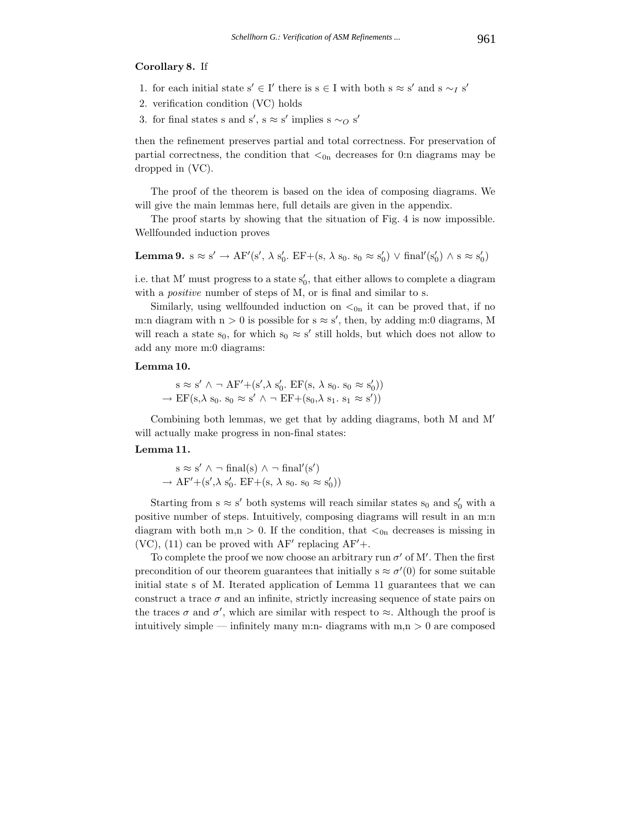# **Corollary 8.** If

- 1. for each initial state s' ∈ I' there is s ∈ I with both s  $\approx$  s' and s  $\sim_I$  s'
- 2. verification condition (VC) holds
- 3. for final states s and s',  $s \approx s'$  implies s  $\sim_O s'$

then the refinement preserves partial and total correctness. For preservation of partial correctness, the condition that  $\lt_{0n}$  decreases for 0:n diagrams may be dropped in (VC).

The proof of the theorem is based on the idea of composing diagrams. We will give the main lemmas here, full details are given in the appendix.

The proof starts by showing that the situation of Fig. 4 is now impossible. Wellfounded induction proves

**Lemma 9.** 
$$
s \approx s' \rightarrow AF'(s', \lambda s'_0)
$$
.  $EF+(s, \lambda s_0, s_0 \approx s'_0) \lor \text{final}'(s'_0) \land s \approx s'_0)$ 

i.e. that M' must progress to a state  $s'_0$ , that either allows to complete a diagram with a *positive* number of steps of M, or is final and similar to s.

Similarly, using wellfounded induction on  $\lt_{0n}$  it can be proved that, if no m:n diagram with  $n > 0$  is possible for  $s \approx s'$ , then, by adding m:0 diagrams, M will reach a state s<sub>0</sub>, for which s<sub>0</sub>  $\approx$  s' still holds, but which does not allow to add any more m:0 diagrams:

### **Lemma 10.**

$$
s \approx s' \land \neg AF' + (s', \lambda s'_0. EF(s, \lambda s_0. s_0 \approx s'_0))
$$
  

$$
\rightarrow EF(s, \lambda s_0. s_0 \approx s' \land \neg EF + (s_0, \lambda s_1. s_1 \approx s'))
$$

Combining both lemmas, we get that by adding diagrams, both M and M will actually make progress in non-final states:

# **Lemma 11.**

$$
s \approx s' \land \neg final(s) \land \neg final'(s')
$$
  

$$
\rightarrow AF' + (s', \lambda s'_0. EF + (s, \lambda s_0. s_0 \approx s'_0))
$$

Starting from  $s \approx s'$  both systems will reach similar states  $s_0$  and  $s'_0$  with a positive number of steps. Intuitively, composing diagrams will result in an m:n diagram with both m,n > 0. If the condition, that  $\lt_{0n}$  decreases is missing in  $(VC)$ , (11) can be proved with AF' replacing AF'+.

To complete the proof we now choose an arbitrary run  $\sigma'$  of M'. Then the first precondition of our theorem guarantees that initially  $s \approx \sigma'(0)$  for some suitable initial state s of M. Iterated application of Lemma 11 guarantees that we can construct a trace  $\sigma$  and an infinite, strictly increasing sequence of state pairs on the traces  $\sigma$  and  $\sigma'$ , which are similar with respect to  $\approx$ . Although the proof is intuitively simple — infinitely many m:n- diagrams with  $m,n > 0$  are composed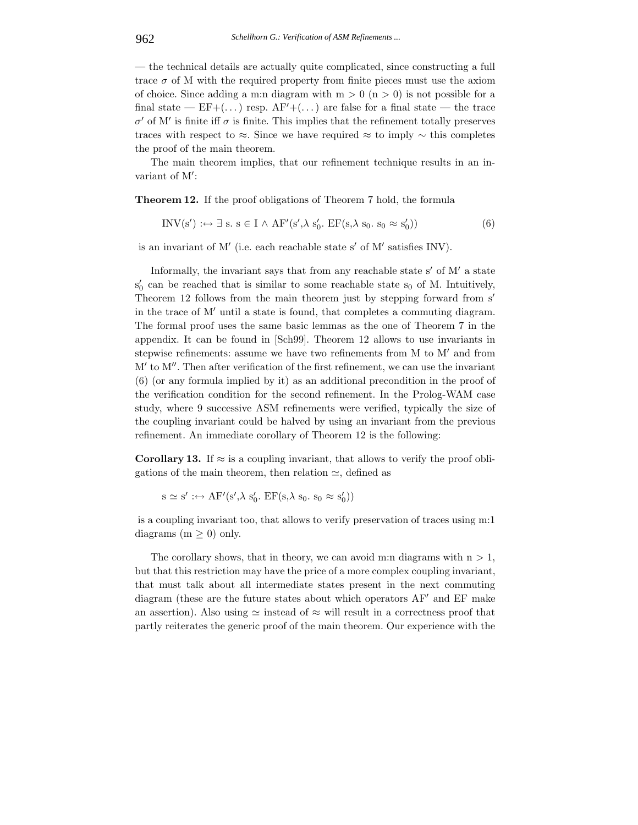— the technical details are actually quite complicated, since constructing a full trace  $\sigma$  of M with the required property from finite pieces must use the axiom of choice. Since adding a m:n diagram with  $m > 0$  (n  $> 0$ ) is not possible for a final state —  $EF + (\dots)$  resp.  $AF' + (\dots)$  are false for a final state — the trace  $σ'$  of M' is finite iff  $σ$  is finite. This implies that the refinement totally preserves traces with respect to ≈. Since we have required ≈ to imply  $\sim$  this completes the proof of the main theorem.

The main theorem implies, that our refinement technique results in an invariant of M :

**Theorem 12.** If the proof obligations of Theorem 7 hold, the formula

$$
INV(s') : \leftrightarrow \exists s. s \in I \land AF'(s', \lambda s'_0. EF(s, \lambda s_0. s_0 \approx s'_0))
$$
(6)

is an invariant of  $M'$  (i.e. each reachable state s' of  $M'$  satisfies INV).

Informally, the invariant says that from any reachable state s' of  $M'$  a state  $s'_0$  can be reached that is similar to some reachable state  $s_0$  of M. Intuitively, Theorem 12 follows from the main theorem just by stepping forward from s' in the trace of  $M'$  until a state is found, that completes a commuting diagram. The formal proof uses the same basic lemmas as the one of Theorem 7 in the appendix. It can be found in [Sch99]. Theorem 12 allows to use invariants in stepwise refinements: assume we have two refinements from  $M$  to  $M'$  and from  $M'$  to  $M''$ . Then after verification of the first refinement, we can use the invariant (6) (or any formula implied by it) as an additional precondition in the proof of the verification condition for the second refinement. In the Prolog-WAM case study, where 9 successive ASM refinements were verified, typically the size of the coupling invariant could be halved by using an invariant from the previous refinement. An immediate corollary of Theorem 12 is the following:

**Corollary 13.** If  $\approx$  is a coupling invariant, that allows to verify the proof obligations of the main theorem, then relation  $\simeq$ , defined as

 $s \simeq s' : \leftrightarrow AF'(s', \lambda s'_0. EF(s, \lambda s_0. s_0 \approx s'_0))$ 

is a coupling invariant too, that allows to verify preservation of traces using m:1 diagrams  $(m \geq 0)$  only.

The corollary shows, that in theory, we can avoid m:n diagrams with  $n > 1$ , but that this restriction may have the price of a more complex coupling invariant, that must talk about all intermediate states present in the next commuting diagram (these are the future states about which operators  $AF'$  and  $EF$  make an assertion). Also using  $\simeq$  instead of  $\approx$  will result in a correctness proof that partly reiterates the generic proof of the main theorem. Our experience with the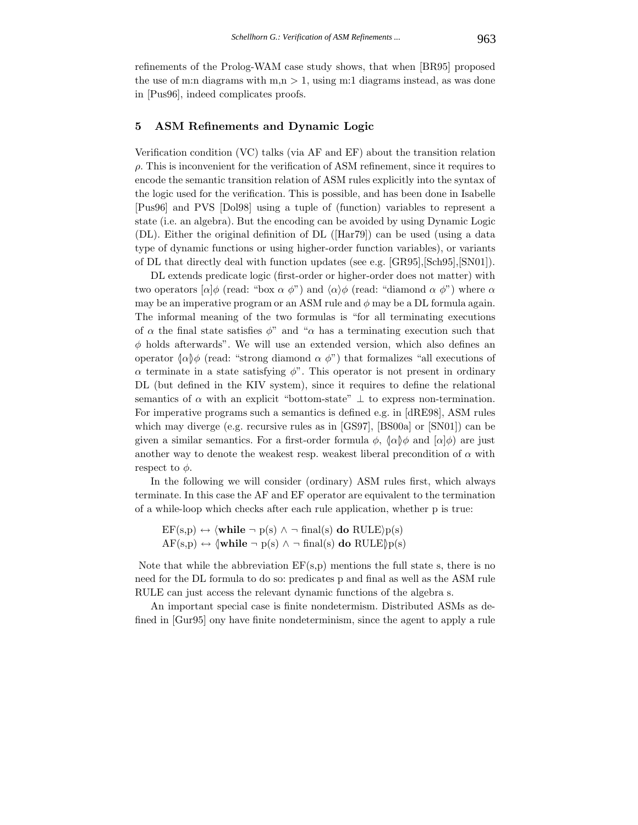refinements of the Prolog-WAM case study shows, that when [BR95] proposed the use of m:n diagrams with  $m, n > 1$ , using m:1 diagrams instead, as was done in [Pus96], indeed complicates proofs.

# **5 ASM Refinements and Dynamic Logic**

Verification condition (VC) talks (via AF and EF) about the transition relation  $\rho$ . This is inconvenient for the verification of ASM refinement, since it requires to encode the semantic transition relation of ASM rules explicitly into the syntax of the logic used for the verification. This is possible, and has been done in Isabelle [Pus96] and PVS [Dol98] using a tuple of (function) variables to represent a state (i.e. an algebra). But the encoding can be avoided by using Dynamic Logic (DL). Either the original definition of DL ([Har79]) can be used (using a data type of dynamic functions or using higher-order function variables), or variants of DL that directly deal with function updates (see e.g. [GR95],[Sch95],[SN01]).

DL extends predicate logic (first-order or higher-order does not matter) with two operators  $\alpha | \phi \rangle$  (read: "box  $\alpha \phi$ ") and  $\langle \alpha \rangle \phi$  (read: "diamond  $\alpha \phi$ ") where  $\alpha$ may be an imperative program or an ASM rule and  $\phi$  may be a DL formula again. The informal meaning of the two formulas is "for all terminating executions of  $\alpha$  the final state satisfies  $\phi$ " and " $\alpha$  has a terminating execution such that  $\phi$  holds afterwards". We will use an extended version, which also defines an operator  $\langle \alpha | \phi \rangle$  (read: "strong diamond  $\alpha \phi$ ") that formalizes "all executions of  $\alpha$  terminate in a state satisfying  $\phi$ ". This operator is not present in ordinary DL (but defined in the KIV system), since it requires to define the relational semantics of  $\alpha$  with an explicit "bottom-state"  $\perp$  to express non-termination. For imperative programs such a semantics is defined e.g. in [dRE98], ASM rules which may diverge (e.g. recursive rules as in [GS97], [BS00a] or [SN01]) can be given a similar semantics. For a first-order formula  $\phi$ ,  $\langle \alpha | \phi \rangle$  and  $\langle \alpha | \phi \rangle$  are just another way to denote the weakest resp. weakest liberal precondition of  $\alpha$  with respect to  $\phi$ .

In the following we will consider (ordinary) ASM rules first, which always terminate. In this case the AF and EF operator are equivalent to the termination of a while-loop which checks after each rule application, whether p is true:

 $EF(s,p) \leftrightarrow \langle \textbf{while } \neg p(s) \land \neg \text{ final}(s) \textbf{ do } RULE \rangle p(s)$  $AF(s,p) \leftrightarrow \langle \textbf{while } \neg p(s) \land \neg \text{final}(s) \textbf{ do } RULE \rangle p(s)$ 

Note that while the abbreviation  $EF(s,p)$  mentions the full state s, there is no need for the DL formula to do so: predicates p and final as well as the ASM rule RULE can just access the relevant dynamic functions of the algebra s.

An important special case is finite nondetermism. Distributed ASMs as defined in [Gur95] ony have finite nondeterminism, since the agent to apply a rule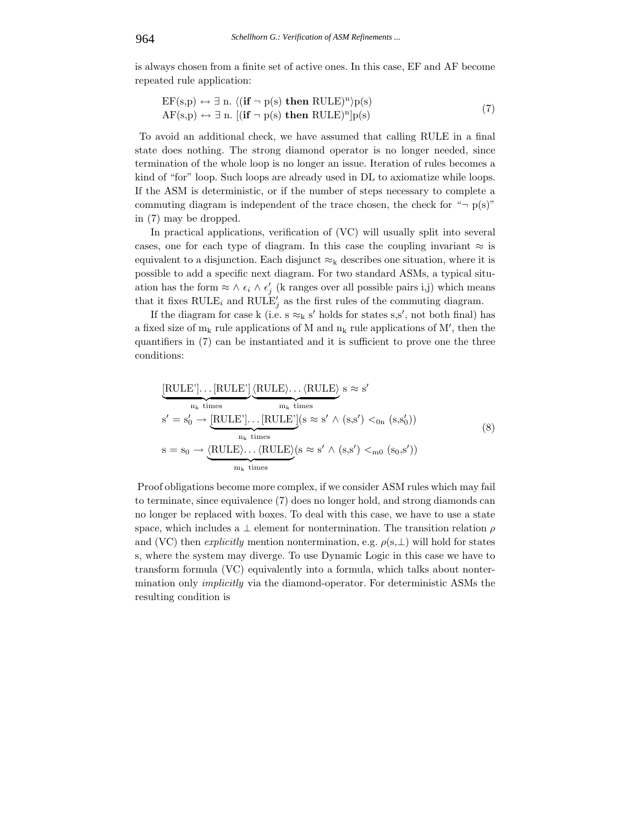is always chosen from a finite set of active ones. In this case, EF and AF become repeated rule application:

$$
EF(s,p) \leftrightarrow \exists n. \langle (\mathbf{if} \neg p(s) \mathbf{then} RULE)^n \rangle p(s) AF(s,p) \leftrightarrow \exists n. \left[ (\mathbf{if} \neg p(s) \mathbf{then} RULE)^n \right] p(s)
$$
(7)

To avoid an additional check, we have assumed that calling RULE in a final state does nothing. The strong diamond operator is no longer needed, since termination of the whole loop is no longer an issue. Iteration of rules becomes a kind of "for" loop. Such loops are already used in DL to axiomatize while loops. If the ASM is deterministic, or if the number of steps necessary to complete a commuting diagram is independent of the trace chosen, the check for " $\neg$  p(s)" in (7) may be dropped.

In practical applications, verification of (VC) will usually split into several cases, one for each type of diagram. In this case the coupling invariant  $\approx$  is equivalent to a disjunction. Each disjunct  $\approx_k$  describes one situation, where it is possible to add a specific next diagram. For two standard ASMs, a typical situation has the form  $\approx \wedge \epsilon_i \wedge \epsilon'_j$  (k ranges over all possible pairs i,j) which means that it fixes  $\text{RULE}_i$  and  $\text{RULE}'_j$  as the first rules of the commuting diagram.

If the diagram for case k (i.e.  $s \approx_{k} s'$  holds for states s,s', not both final) has a fixed size of  $m_k$  rule applications of M and  $n_k$  rule applications of M', then the quantifiers in (7) can be instantiated and it is sufficient to prove one the three conditions:

$$
\underbrace{[\text{RULE}'] \dots [\text{RULE}']}_{n_k \text{ times}} \underbrace{\langle \text{RULE} \rangle \dots \langle \text{RULE} \rangle}_{m_k \text{ times}} s \approx s'
$$
\n
$$
s' = s'_0 \rightarrow \underbrace{[\text{RULE}'] \dots [\text{RULE}']}_{n_k \text{ times}} (s \approx s' \land (s, s') <_{0n} (s, s'_0))
$$
\n
$$
s = s_0 \rightarrow \underbrace{\langle \text{RULE} \rangle \dots \langle \text{RULE} \rangle}_{m_k \text{ times}} (s \approx s' \land (s, s') <_{m0} (s_0, s'))
$$
\n
$$
(8)
$$

Proof obligations become more complex, if we consider ASM rules which may fail to terminate, since equivalence (7) does no longer hold, and strong diamonds can no longer be replaced with boxes. To deal with this case, we have to use a state space, which includes a  $\perp$  element for nontermination. The transition relation  $\rho$ and (VC) then *explicitly* mention nontermination, e.g.  $\rho(s,\perp)$  will hold for states s, where the system may diverge. To use Dynamic Logic in this case we have to transform formula (VC) equivalently into a formula, which talks about nontermination only *implicitly* via the diamond-operator. For deterministic ASMs the resulting condition is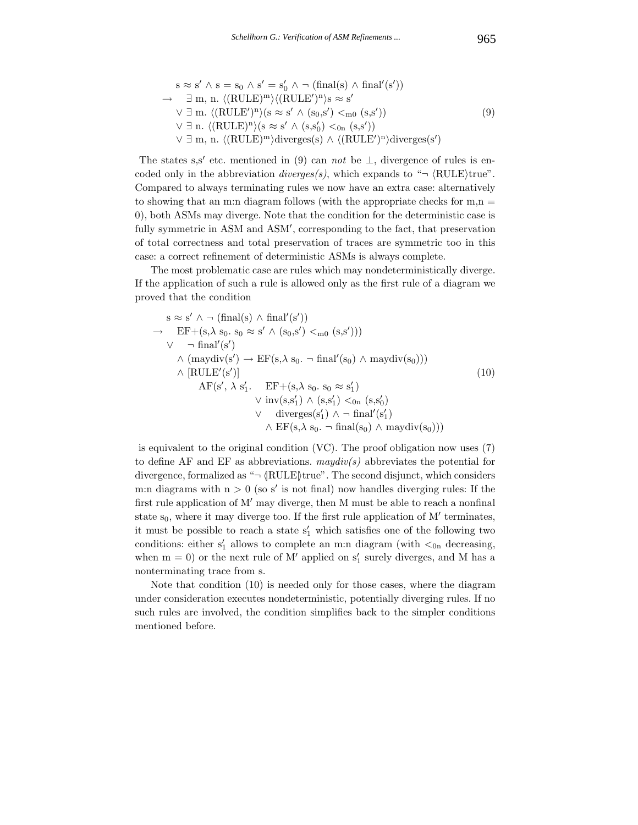$$
s \approx s' \land s = s_0 \land s' = s'_0 \land \neg \text{ (final(s)} \land \text{final}'(s'))
$$
  
\n
$$
\rightarrow \exists m, n. \langle (\text{RULE})^m \rangle \langle (\text{RULE}')^n \rangle s \approx s'
$$
  
\n
$$
\lor \exists m. \langle (\text{RULE}')^n \rangle (s \approx s' \land (s_0, s') <_{m0} (s, s'))
$$
  
\n
$$
\lor \exists n. \langle (\text{RULE})^n \rangle (s \approx s' \land (s, s'_0) <_{0n} (s, s'))
$$
  
\n
$$
\lor \exists m, n. \langle (\text{RULE})^m \rangle \text{diverges}(s) \land \langle (\text{RULE}')^n \rangle \text{diverges}(s')
$$
\n(9)

The states s,s' etc. mentioned in (9) can *not* be  $\perp$ , divergence of rules is encoded only in the abbreviation *diverges(s)*, which expands to " $\neg$  (RULE)true". Compared to always terminating rules we now have an extra case: alternatively to showing that an m:n diagram follows (with the appropriate checks for  $m,n =$ 0), both ASMs may diverge. Note that the condition for the deterministic case is fully symmetric in ASM and ASM , corresponding to the fact, that preservation of total correctness and total preservation of traces are symmetric too in this case: a correct refinement of deterministic ASMs is always complete.

The most problematic case are rules which may nondeterministically diverge. If the application of such a rule is allowed only as the first rule of a diagram we proved that the condition

$$
s \approx s' \land \neg (\text{final}(s) \land \text{final}'(s'))
$$
  
\n
$$
\rightarrow \text{EF}+(s,\lambda s_0. s_0 \approx s' \land (s_0,s') <_{m0} (s,s')))
$$
  
\n
$$
\lor \neg \text{final}'(s')
$$
  
\n
$$
\land (\text{maydiv}(s') \rightarrow \text{EF}(s,\lambda s_0. \neg \text{final}'(s_0) \land \text{maydiv}(s_0)))
$$
  
\n
$$
\land [\text{RULE}'(s')]
$$
  
\n
$$
\land F(s', \lambda s'_1. \quad \text{EF}+(s,\lambda s_0. s_0 \approx s'_1)
$$
  
\n
$$
\lor \text{inv}(s,s'_1) \land (s,s'_1) <_{0n} (s,s'_0)
$$
  
\n
$$
\lor \text{diverges}(s'_1) \land \neg \text{final}'(s'_1)
$$
  
\n
$$
\land \text{EF}(s,\lambda s_0. \neg \text{final}(s_0) \land \text{maydiv}(s_0)))
$$
  
\n(10)

is equivalent to the original condition (VC). The proof obligation now uses (7) to define AF and EF as abbreviations. *maydiv(s)* abbreviates the potential for divergence, formalized as " $\neg \langle \text{RULE} \rangle$ true". The second disjunct, which considers m:n diagrams with  $n > 0$  (so s' is not final) now handles diverging rules: If the first rule application of  $M'$  may diverge, then M must be able to reach a nonfinal state  $s_0$ , where it may diverge too. If the first rule application of M' terminates, it must be possible to reach a state  $s'_1$  which satisfies one of the following two conditions: either  $s'_1$  allows to complete an m:n diagram (with  $\lt_{0n}$  decreasing, when  $m = 0$ ) or the next rule of M' applied on  $s'_1$  surely diverges, and M has a nonterminating trace from s.

Note that condition (10) is needed only for those cases, where the diagram under consideration executes nondeterministic, potentially diverging rules. If no such rules are involved, the condition simplifies back to the simpler conditions mentioned before.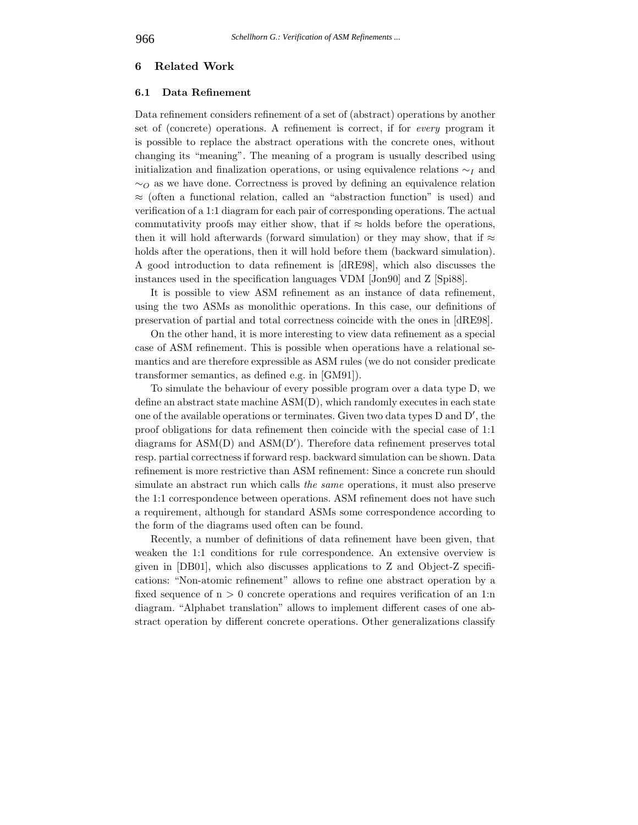### **6 Related Work**

#### **6.1 Data Refinement**

Data refinement considers refinement of a set of (abstract) operations by another set of (concrete) operations. A refinement is correct, if for *every* program it is possible to replace the abstract operations with the concrete ones, without changing its "meaning". The meaning of a program is usually described using initialization and finalization operations, or using equivalence relations ∼*<sup>I</sup>* and ∼*<sup>O</sup>* as we have done. Correctness is proved by defining an equivalence relation ≈ (often a functional relation, called an "abstraction function" is used) and verification of a 1:1 diagram for each pair of corresponding operations. The actual commutativity proofs may either show, that if  $\approx$  holds before the operations, then it will hold afterwards (forward simulation) or they may show, that if  $\approx$ holds after the operations, then it will hold before them (backward simulation). A good introduction to data refinement is [dRE98], which also discusses the instances used in the specification languages VDM [Jon90] and Z [Spi88].

It is possible to view ASM refinement as an instance of data refinement, using the two ASMs as monolithic operations. In this case, our definitions of preservation of partial and total correctness coincide with the ones in [dRE98].

On the other hand, it is more interesting to view data refinement as a special case of ASM refinement. This is possible when operations have a relational semantics and are therefore expressible as ASM rules (we do not consider predicate transformer semantics, as defined e.g. in [GM91]).

To simulate the behaviour of every possible program over a data type D, we define an abstract state machine ASM(D), which randomly executes in each state one of the available operations or terminates. Given two data types D and D , the proof obligations for data refinement then coincide with the special case of 1:1 diagrams for ASM(D) and ASM(D ). Therefore data refinement preserves total resp. partial correctness if forward resp. backward simulation can be shown. Data refinement is more restrictive than ASM refinement: Since a concrete run should simulate an abstract run which calls *the same* operations, it must also preserve the 1:1 correspondence between operations. ASM refinement does not have such a requirement, although for standard ASMs some correspondence according to the form of the diagrams used often can be found.

Recently, a number of definitions of data refinement have been given, that weaken the 1:1 conditions for rule correspondence. An extensive overview is given in [DB01], which also discusses applications to Z and Object-Z specifications: "Non-atomic refinement" allows to refine one abstract operation by a fixed sequence of  $n > 0$  concrete operations and requires verification of an 1:n diagram. "Alphabet translation" allows to implement different cases of one abstract operation by different concrete operations. Other generalizations classify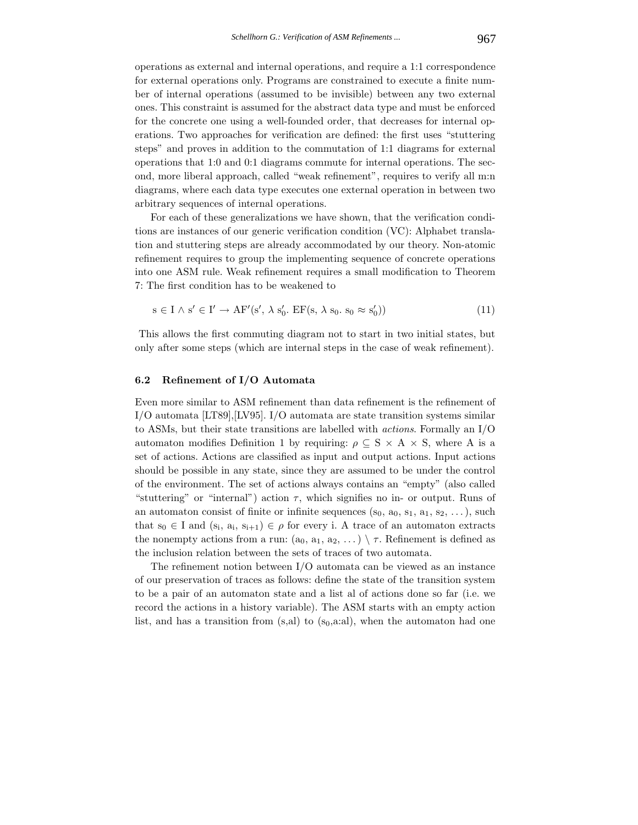operations as external and internal operations, and require a 1:1 correspondence for external operations only. Programs are constrained to execute a finite number of internal operations (assumed to be invisible) between any two external ones. This constraint is assumed for the abstract data type and must be enforced for the concrete one using a well-founded order, that decreases for internal operations. Two approaches for verification are defined: the first uses "stuttering steps" and proves in addition to the commutation of 1:1 diagrams for external operations that 1:0 and 0:1 diagrams commute for internal operations. The second, more liberal approach, called "weak refinement", requires to verify all m:n diagrams, where each data type executes one external operation in between two arbitrary sequences of internal operations.

For each of these generalizations we have shown, that the verification conditions are instances of our generic verification condition (VC): Alphabet translation and stuttering steps are already accommodated by our theory. Non-atomic refinement requires to group the implementing sequence of concrete operations into one ASM rule. Weak refinement requires a small modification to Theorem 7: The first condition has to be weakened to

$$
s \in I \wedge s' \in I' \to AF'(s', \lambda s'_0. EF(s, \lambda s_0. s_0 \approx s'_0))
$$
\n
$$
(11)
$$

This allows the first commuting diagram not to start in two initial states, but only after some steps (which are internal steps in the case of weak refinement).

# **6.2 Refinement of I/O Automata**

Even more similar to ASM refinement than data refinement is the refinement of I/O automata [LT89],[LV95]. I/O automata are state transition systems similar to ASMs, but their state transitions are labelled with *actions*. Formally an I/O automaton modifies Definition 1 by requiring:  $\rho \subseteq S \times A \times S$ , where A is a set of actions. Actions are classified as input and output actions. Input actions should be possible in any state, since they are assumed to be under the control of the environment. The set of actions always contains an "empty" (also called "stuttering" or "internal") action  $\tau$ , which signifies no in- or output. Runs of an automaton consist of finite or infinite sequences  $(s_0, a_0, s_1, a_1, s_2, \ldots)$ , such that  $s_0 \in I$  and  $(s_i, a_i, s_{i+1}) \in \rho$  for every i. A trace of an automaton extracts the nonempty actions from a run:  $(a_0, a_1, a_2, ...) \setminus \tau$ . Refinement is defined as the inclusion relation between the sets of traces of two automata.

The refinement notion between I/O automata can be viewed as an instance of our preservation of traces as follows: define the state of the transition system to be a pair of an automaton state and a list al of actions done so far (i.e. we record the actions in a history variable). The ASM starts with an empty action list, and has a transition from  $(s, a)$  to  $(s_0, a: a)$ , when the automaton had one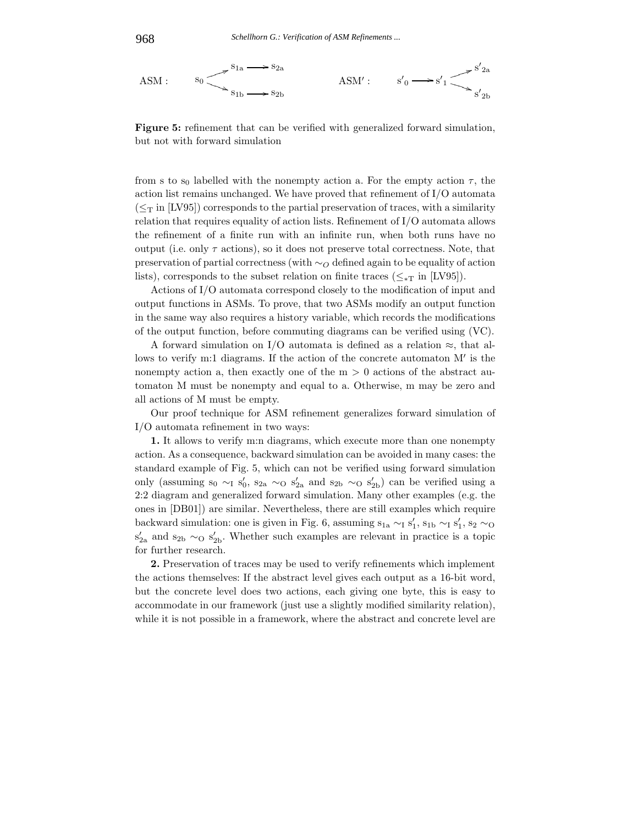



**Figure 5:** refinement that can be verified with generalized forward simulation, but not with forward simulation

from s to s<sub>0</sub> labelled with the nonempty action a. For the empty action  $\tau$ , the action list remains unchanged. We have proved that refinement of I/O automata  $({\leq_{\rm T}}$  in [LV95]) corresponds to the partial preservation of traces, with a similarity relation that requires equality of action lists. Refinement of I/O automata allows the refinement of a finite run with an infinite run, when both runs have no output (i.e. only  $\tau$  actions), so it does not preserve total correctness. Note, that preservation of partial correctness (with ∼*<sup>O</sup>* defined again to be equality of action lists), corresponds to the subset relation on finite traces ( $\leq_{\ast}$ T in [LV95]).

Actions of I/O automata correspond closely to the modification of input and output functions in ASMs. To prove, that two ASMs modify an output function in the same way also requires a history variable, which records the modifications of the output function, before commuting diagrams can be verified using (VC).

A forward simulation on I/O automata is defined as a relation  $\approx$ , that allows to verify m:1 diagrams. If the action of the concrete automaton  $M'$  is the nonempty action a, then exactly one of the  $m > 0$  actions of the abstract automaton M must be nonempty and equal to a. Otherwise, m may be zero and all actions of M must be empty.

Our proof technique for ASM refinement generalizes forward simulation of I/O automata refinement in two ways:

**1.** It allows to verify m:n diagrams, which execute more than one nonempty action. As a consequence, backward simulation can be avoided in many cases: the standard example of Fig. 5, which can not be verified using forward simulation only (assuming  $s_0 \sim_I s'_0$ ,  $s_{2a} \sim_O s'_{2a}$  and  $s_{2b} \sim_O s'_{2b}$ ) can be verified using a 2:2 diagram and generalized forward simulation. Many other examples (e.g. the ones in [DB01]) are similar. Nevertheless, there are still examples which require backward simulation: one is given in Fig. 6, assuming  $s_{1a} \sim I s_1'$ ,  $s_{1b} \sim I s_1'$ ,  $s_2 \sim O$ s'<sub>2a</sub> and s<sub>2b</sub> ∼<sub>O</sub> s'<sub>2b</sub>. Whether such examples are relevant in practice is a topic for further research.

**2.** Preservation of traces may be used to verify refinements which implement the actions themselves: If the abstract level gives each output as a 16-bit word, but the concrete level does two actions, each giving one byte, this is easy to accommodate in our framework (just use a slightly modified similarity relation), while it is not possible in a framework, where the abstract and concrete level are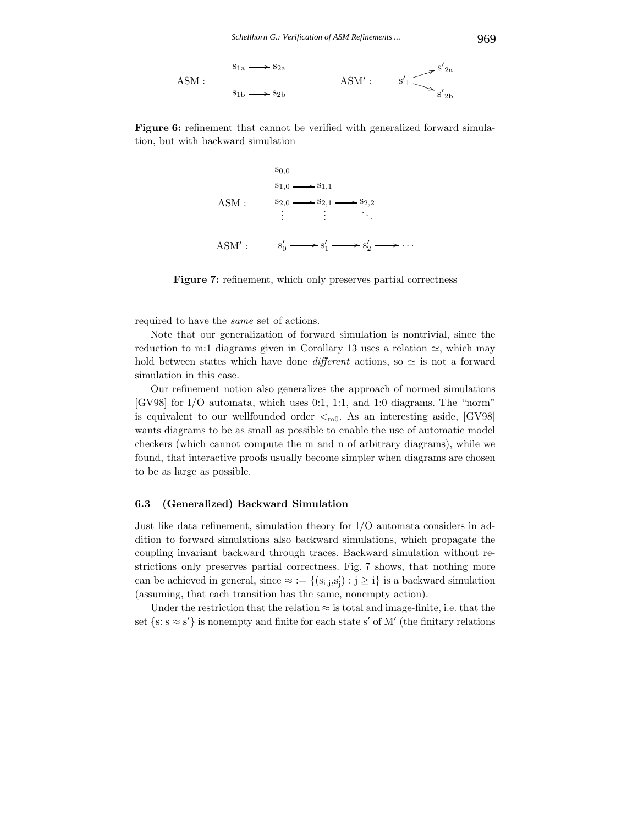



**Figure 7:** refinement, which only preserves partial correctness

required to have the *same* set of actions.

Note that our generalization of forward simulation is nontrivial, since the reduction to m:1 diagrams given in Corollary 13 uses a relation  $\simeq$ , which may hold between states which have done *different* actions, so  $\simeq$  is not a forward simulation in this case.

Our refinement notion also generalizes the approach of normed simulations [GV98] for I/O automata, which uses 0:1, 1:1, and 1:0 diagrams. The "norm" is equivalent to our wellfounded order  $\lt_{m0}$ . As an interesting aside, [GV98] wants diagrams to be as small as possible to enable the use of automatic model checkers (which cannot compute the m and n of arbitrary diagrams), while we found, that interactive proofs usually become simpler when diagrams are chosen to be as large as possible.

# **6.3 (Generalized) Backward Simulation**

Just like data refinement, simulation theory for I/O automata considers in addition to forward simulations also backward simulations, which propagate the coupling invariant backward through traces. Backward simulation without restrictions only preserves partial correctness. Fig. 7 shows, that nothing more can be achieved in general, since  $\approx := \{ (s_{i,j}, s'_j) : j \geq i \}$  is a backward simulation (assuming, that each transition has the same, nonempty action).

Under the restriction that the relation  $\approx$  is total and image-finite, i.e. that the set  $\{s: s \approx s'\}$  is nonempty and finite for each state s' of M' (the finitary relations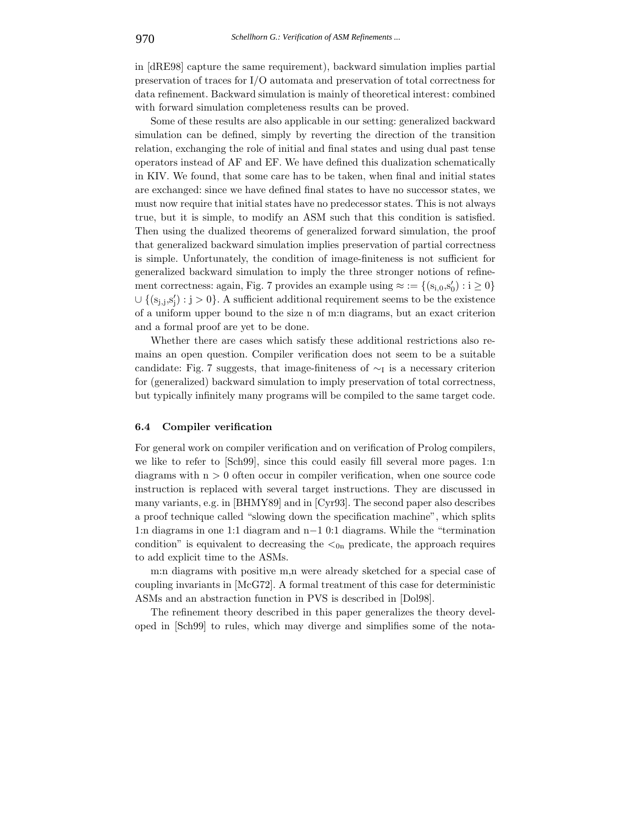in [dRE98] capture the same requirement), backward simulation implies partial preservation of traces for I/O automata and preservation of total correctness for data refinement. Backward simulation is mainly of theoretical interest: combined with forward simulation completeness results can be proved.

Some of these results are also applicable in our setting: generalized backward simulation can be defined, simply by reverting the direction of the transition relation, exchanging the role of initial and final states and using dual past tense operators instead of AF and EF. We have defined this dualization schematically in KIV. We found, that some care has to be taken, when final and initial states are exchanged: since we have defined final states to have no successor states, we must now require that initial states have no predecessor states. This is not always true, but it is simple, to modify an ASM such that this condition is satisfied. Then using the dualized theorems of generalized forward simulation, the proof that generalized backward simulation implies preservation of partial correctness is simple. Unfortunately, the condition of image-finiteness is not sufficient for generalized backward simulation to imply the three stronger notions of refinement correctness: again, Fig. 7 provides an example using  $\approx := \{ (s_{i,0}, s'_0) : i \ge 0 \}$ ∪ {(s<sub>j,j,s'</sub>'<sub>j</sub>) : j > 0}. A sufficient additional requirement seems to be the existence of a uniform upper bound to the size n of m:n diagrams, but an exact criterion and a formal proof are yet to be done.

Whether there are cases which satisfy these additional restrictions also remains an open question. Compiler verification does not seem to be a suitable candidate: Fig. 7 suggests, that image-finiteness of  $\sim$ I is a necessary criterion for (generalized) backward simulation to imply preservation of total correctness, but typically infinitely many programs will be compiled to the same target code.

# **6.4 Compiler verification**

For general work on compiler verification and on verification of Prolog compilers, we like to refer to [Sch99], since this could easily fill several more pages. 1:n diagrams with  $n > 0$  often occur in compiler verification, when one source code instruction is replaced with several target instructions. They are discussed in many variants, e.g. in [BHMY89] and in [Cyr93]. The second paper also describes a proof technique called "slowing down the specification machine", which splits 1:n diagrams in one 1:1 diagram and n−1 0:1 diagrams. While the "termination condition" is equivalent to decreasing the  $\lt_{0n}$  predicate, the approach requires to add explicit time to the ASMs.

m:n diagrams with positive m,n were already sketched for a special case of coupling invariants in [McG72]. A formal treatment of this case for deterministic ASMs and an abstraction function in PVS is described in [Dol98].

The refinement theory described in this paper generalizes the theory developed in [Sch99] to rules, which may diverge and simplifies some of the nota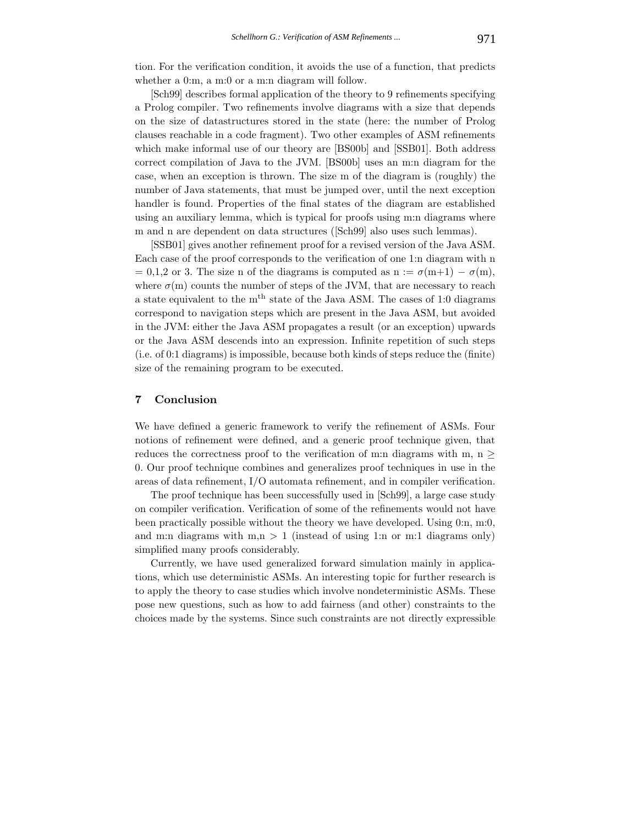tion. For the verification condition, it avoids the use of a function, that predicts whether a 0:m, a m:0 or a m:n diagram will follow.

[Sch99] describes formal application of the theory to 9 refinements specifying a Prolog compiler. Two refinements involve diagrams with a size that depends on the size of datastructures stored in the state (here: the number of Prolog clauses reachable in a code fragment). Two other examples of ASM refinements which make informal use of our theory are [BS00b] and [SSB01]. Both address correct compilation of Java to the JVM. [BS00b] uses an m:n diagram for the case, when an exception is thrown. The size m of the diagram is (roughly) the number of Java statements, that must be jumped over, until the next exception handler is found. Properties of the final states of the diagram are established using an auxiliary lemma, which is typical for proofs using m:n diagrams where m and n are dependent on data structures ([Sch99] also uses such lemmas).

[SSB01] gives another refinement proof for a revised version of the Java ASM. Each case of the proof corresponds to the verification of one 1:n diagram with n  $= 0,1,2$  or 3. The size n of the diagrams is computed as  $n := \sigma(m+1) - \sigma(m)$ , where  $\sigma(m)$  counts the number of steps of the JVM, that are necessary to reach a state equivalent to the m<sup>th</sup> state of the Java ASM. The cases of 1:0 diagrams correspond to navigation steps which are present in the Java ASM, but avoided in the JVM: either the Java ASM propagates a result (or an exception) upwards or the Java ASM descends into an expression. Infinite repetition of such steps (i.e. of 0:1 diagrams) is impossible, because both kinds of steps reduce the (finite) size of the remaining program to be executed.

# **7 Conclusion**

We have defined a generic framework to verify the refinement of ASMs. Four notions of refinement were defined, and a generic proof technique given, that reduces the correctness proof to the verification of m:n diagrams with m,  $n \geq$ 0. Our proof technique combines and generalizes proof techniques in use in the areas of data refinement, I/O automata refinement, and in compiler verification.

The proof technique has been successfully used in [Sch99], a large case study on compiler verification. Verification of some of the refinements would not have been practically possible without the theory we have developed. Using 0:n, m:0, and m:n diagrams with m,n  $> 1$  (instead of using 1:n or m:1 diagrams only) simplified many proofs considerably.

Currently, we have used generalized forward simulation mainly in applications, which use deterministic ASMs. An interesting topic for further research is to apply the theory to case studies which involve nondeterministic ASMs. These pose new questions, such as how to add fairness (and other) constraints to the choices made by the systems. Since such constraints are not directly expressible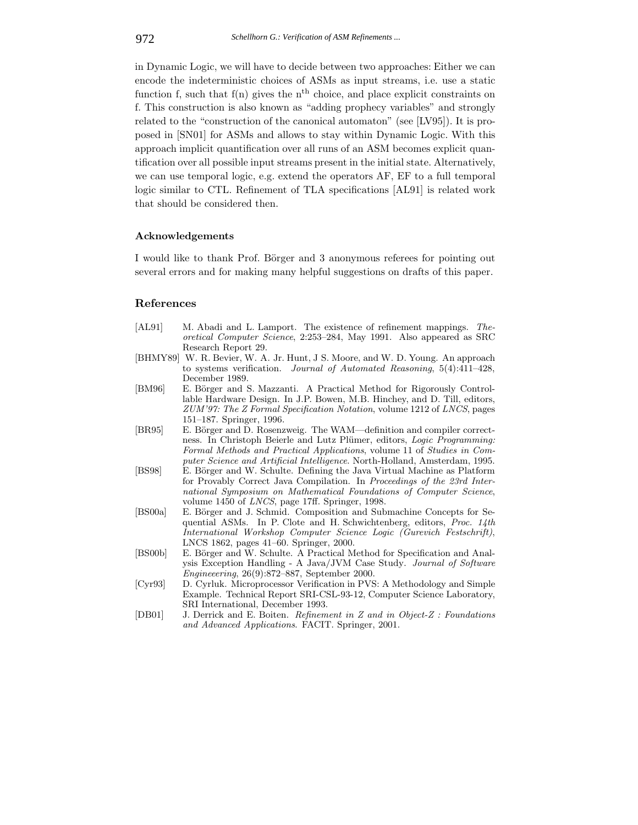in Dynamic Logic, we will have to decide between two approaches: Either we can encode the indeterministic choices of ASMs as input streams, i.e. use a static function f, such that  $f(n)$  gives the n<sup>th</sup> choice, and place explicit constraints on f. This construction is also known as "adding prophecy variables" and strongly related to the "construction of the canonical automaton" (see [LV95]). It is proposed in [SN01] for ASMs and allows to stay within Dynamic Logic. With this approach implicit quantification over all runs of an ASM becomes explicit quantification over all possible input streams present in the initial state. Alternatively, we can use temporal logic, e.g. extend the operators AF, EF to a full temporal logic similar to CTL. Refinement of TLA specifications [AL91] is related work that should be considered then.

### **Acknowledgements**

I would like to thank Prof. Börger and 3 anonymous referees for pointing out several errors and for making many helpful suggestions on drafts of this paper.

### **References**

- [AL91] M. Abadi and L. Lamport. The existence of refinement mappings. *Theoretical Computer Science*, 2:253–284, May 1991. Also appeared as SRC Research Report 29.
- [BHMY89] W. R. Bevier, W. A. Jr. Hunt, J S. Moore, and W. D. Young. An approach to systems verification. *Journal of Automated Reasoning*, 5(4):411–428, December 1989.
- [BM96] E. Börger and S. Mazzanti. A Practical Method for Rigorously Controllable Hardware Design. In J.P. Bowen, M.B. Hinchey, and D. Till, editors, *ZUM'97: The Z Formal Specification Notation*, volume 1212 of *LNCS*, pages 151–187. Springer, 1996.
- [BR95] E. Börger and D. Rosenzweig. The WAM—definition and compiler correctness. In Christoph Beierle and Lutz Plümer, editors, *Logic Programming: Formal Methods and Practical Applications*, volume 11 of *Studies in Computer Science and Artificial Intelligence*. North-Holland, Amsterdam, 1995.
- [BS98] E. Börger and W. Schulte. Defining the Java Virtual Machine as Platform for Provably Correct Java Compilation. In *Proceedings of the 23rd International Symposium on Mathematical Foundations of Computer Science*, volume 1450 of *LNCS*, page 17ff. Springer, 1998.
- [BS00a] E. Börger and J. Schmid. Composition and Submachine Concepts for Sequential ASMs. In P. Clote and H. Schwichtenberg, editors, *Proc. 14th International Workshop Computer Science Logic (Gurevich Festschrift)*, LNCS 1862, pages 41–60. Springer, 2000.
- [BS00b] E. Börger and W. Schulte. A Practical Method for Specification and Analysis Exception Handling - A Java/JVM Case Study. *Journal of Software Engineeering*, 26(9):872–887, September 2000.
- [Cyr93] D. Cyrluk. Microprocessor Verification in PVS: A Methodology and Simple Example. Technical Report SRI-CSL-93-12, Computer Science Laboratory, SRI International, December 1993.
- [DB01] J. Derrick and E. Boiten. *Refinement in Z and in Object-Z : Foundations and Advanced Applications*. FACIT. Springer, 2001.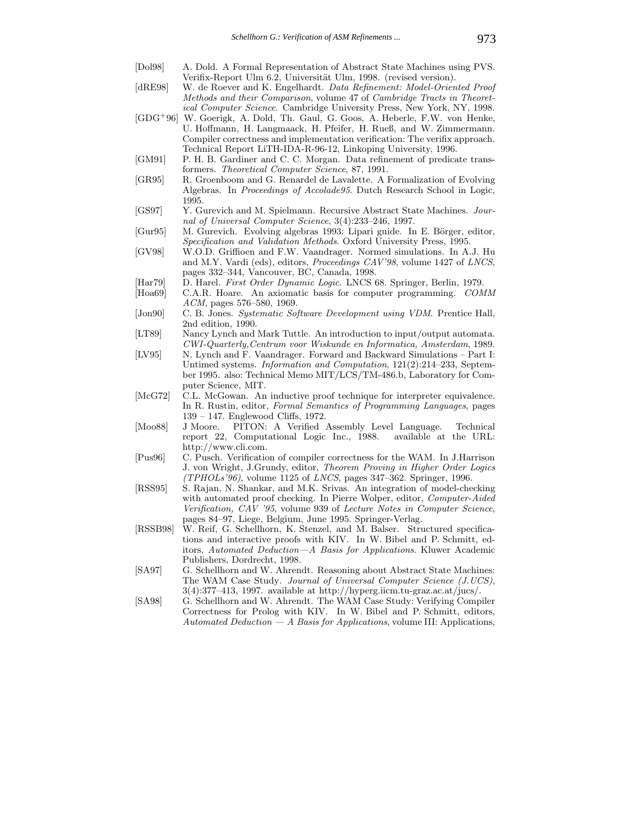- [Dol98] A. Dold. A Formal Representation of Abstract State Machines using PVS. Verifix-Report Ulm 6.2, Universität Ulm, 1998. (revised version).
- [dRE98] W. de Roever and K. Engelhardt. *Data Refinement: Model-Oriented Proof Methods and their Comparison*, volume 47 of *Cambridge Tracts in Theoretical Computer Science*. Cambridge University Press, New York, NY, 1998.
- [GDG<sup>+</sup>96] W. Goerigk, A. Dold, Th. Gaul, G. Goos, A. Heberle, F.W. von Henke, U. Hoffmann, H. Langmaack, H. Pfeifer, H. Rueß, and W. Zimmermann. Compiler correctness and implementation verification: The verifix approach. Technical Report LiTH-IDA-R-96-12, Linkoping University, 1996.
- [GM91] P. H. B. Gardiner and C. C. Morgan. Data refinement of predicate transformers. *Theoretical Computer Science*, 87, 1991.
- [GR95] R. Groenboom and G. Renardel de Lavalette. A Formalization of Evolving Algebras. In *Proceedings of Accolade95*. Dutch Research School in Logic, 1995.
- [GS97] Y. Gurevich and M. Spielmann. Recursive Abstract State Machines. *Journal of Universal Computer Science*, 3(4):233–246, 1997.
- [Gur95] M. Gurevich. Evolving algebras 1993: Lipari guide. In E. Börger, editor, *Specification and Validation Methods*. Oxford University Press, 1995.
- [GV98] W.O.D. Griffioen and F.W. Vaandrager. Normed simulations. In A.J. Hu and M.Y. Vardi (eds), editors, *Proceedings CAV'98*, volume 1427 of *LNCS*, pages 332–344, Vancouver, BC, Canada, 1998.
- [Har79] D. Harel. *First Order Dynamic Logic*. LNCS 68. Springer, Berlin, 1979.
- [Hoa69] C.A.R. Hoare. An axiomatic basis for computer programming. *COMM ACM*, pages 576–580, 1969.
- [Jon90] C. B. Jones. *Systematic Software Development using VDM*. Prentice Hall, 2nd edition, 1990.
- [LT89] Nancy Lynch and Mark Tuttle. An introduction to input/output automata. *CWI-Quarterly,Centrum voor Wiskunde en Informatica, Amsterdam*, 1989.
- [LV95] N. Lynch and F. Vaandrager. Forward and Backward Simulations Part I: Untimed systems. *Information and Computation*, 121(2):214–233, September 1995. also: Technical Memo MIT/LCS/TM-486.b, Laboratory for Computer Science, MIT.
- [McG72] C.L. McGowan. An inductive proof technique for interpreter equivalence. In R. Rustin, editor, *Formal Semantics of Programming Languages*, pages 139 – 147. Englewood Cliffs, 1972.
- [Moo88] J Moore. PITON: A Verified Assembly Level Language. Technical report 22, Computational Logic Inc., 1988. available at the URL: http://www.cli.com.
- [Pus96] C. Pusch. Verification of compiler correctness for the WAM. In J.Harrison J. von Wright, J.Grundy, editor, *Theorem Proving in Higher Order Logics (TPHOLs'96)*, volume 1125 of *LNCS*, pages 347–362. Springer, 1996.
- [RSS95] S. Rajan, N. Shankar, and M.K. Srivas. An integration of model-checking with automated proof checking. In Pierre Wolper, editor, *Computer-Aided Verification, CAV '95*, volume 939 of *Lecture Notes in Computer Science*, pages 84–97, Liege, Belgium, June 1995. Springer-Verlag.
- [RSSB98] W. Reif, G. Schellhorn, K. Stenzel, and M. Balser. Structured specifications and interactive proofs with KIV. In W. Bibel and P. Schmitt, editors, *Automated Deduction—A Basis for Applications*. Kluwer Academic Publishers, Dordrecht, 1998.
- [SA97] G. Schellhorn and W. Ahrendt. Reasoning about Abstract State Machines: The WAM Case Study. *Journal of Universal Computer Science (J.UCS)*, 3(4):377–413, 1997. available at http://hyperg.iicm.tu-graz.ac.at/jucs/.
- [SA98] G. Schellhorn and W. Ahrendt. The WAM Case Study: Verifying Compiler Correctness for Prolog with KIV. In W. Bibel and P. Schmitt, editors, *Automated Deduction — A Basis for Applications*, volume III: Applications,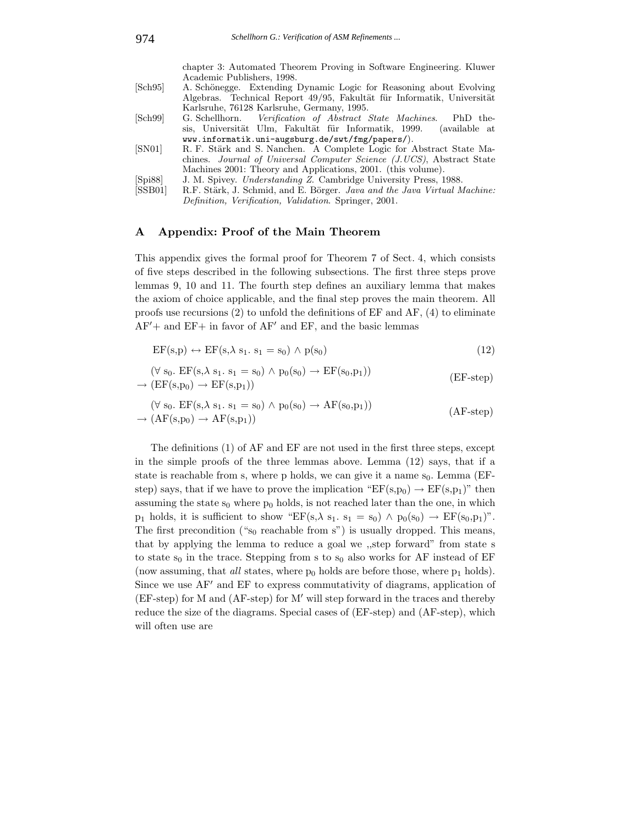chapter 3: Automated Theorem Proving in Software Engineering. Kluwer Academic Publishers, 1998.

- [Sch95] A. Schönegge. Extending Dynamic Logic for Reasoning about Evolving Algebras. Technical Report 49/95, Fakultät für Informatik, Universität Karlsruhe, 76128 Karlsruhe, Germany, 1995.
- [Sch99] G. Schellhorn. *Verification of Abstract State Machines*. PhD thesis, Universität Ulm, Fakultät für Informatik, 1999. (available at www.informatik.uni-augsburg.de/swt/fmg/papers/).
- [SN01] R. F. Stärk and S. Nanchen. A Complete Logic for Abstract State Machines. *Journal of Universal Computer Science (J.UCS)*, Abstract State Machines 2001: Theory and Applications, 2001. (this volume).
- [Spi88] J. M. Spivey. *Understanding Z*. Cambridge University Press, 1988.
- [SSB01] R.F. Stärk, J. Schmid, and E. Börger. *Java and the Java Virtual Machine: Definition, Verification, Validation*. Springer, 2001.

# **A Appendix: Proof of the Main Theorem**

This appendix gives the formal proof for Theorem 7 of Sect. 4, which consists of five steps described in the following subsections. The first three steps prove lemmas 9, 10 and 11. The fourth step defines an auxiliary lemma that makes the axiom of choice applicable, and the final step proves the main theorem. All proofs use recursions  $(2)$  to unfold the definitions of EF and AF,  $(4)$  to eliminate  $AF'$  + and  $EF$  + in favor of  $AF'$  and  $EF$ , and the basic lemmas

$$
EF(s,p) \leftrightarrow EF(s,\lambda s_1, s_1 = s_0) \land p(s_0)
$$
\n(12)

$$
(\forall s_0. EF(s, \lambda s_1. s_1 = s_0) \land p_0(s_0) \to EF(s_0, p_1))
$$
  
\n
$$
\rightarrow (EF(s, p_0) \to EF(s, p_1))
$$
 (EF-step)

$$
(\forall s_0. EF(s, \lambda s_1. s_1 = s_0) \land p_0(s_0) \to AF(s_0, p_1))
$$
  
\n
$$
\rightarrow (AF(s, p_0) \to AF(s, p_1))
$$
\n
$$
(AF-step)
$$

The definitions (1) of AF and EF are not used in the first three steps, except in the simple proofs of the three lemmas above. Lemma  $(12)$  says, that if a state is reachable from s, where p holds, we can give it a name  $s_0$ . Lemma (EFstep) says, that if we have to prove the implication " $EF(s,p_0) \rightarrow EF(s,p_1)$ " then assuming the state  $s_0$  where  $p_0$  holds, is not reached later than the one, in which  $p_1$  holds, it is sufficient to show "EF(s, $\lambda$  s<sub>1</sub>. s<sub>1</sub> = s<sub>0</sub>)  $\wedge$   $p_0(s_0) \rightarrow EF(s_0,p_1)$ ". The first precondition (" $s_0$  reachable from s") is usually dropped. This means, that by applying the lemma to reduce a goal we ,,step forward" from state s to state  $s_0$  in the trace. Stepping from s to  $s_0$  also works for AF instead of EF (now assuming, that  $all$  states, where  $p_0$  holds are before those, where  $p_1$  holds). Since we use  $AF'$  and  $EF$  to express commutativity of diagrams, application of  $(EF-step)$  for M and  $(AF-step)$  for M' will step forward in the traces and thereby reduce the size of the diagrams. Special cases of (EF-step) and (AF-step), which will often use are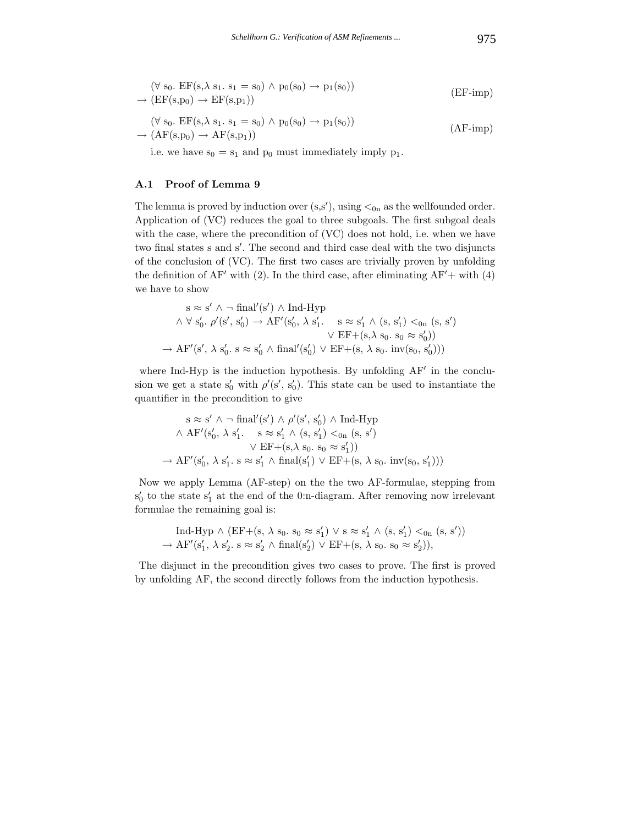$$
(\forall s_0. EF(s, \lambda s_1. s_1 = s_0) \land p_0(s_0) \to p_1(s_0))
$$
  
\n
$$
\rightarrow (EF(s, p_0) \to EF(s, p_1))
$$
 (EF-imp)

$$
(\forall s_0. EF(s, \lambda s_1. s_1 = s_0) \land p_0(s_0) \to p_1(s_0))
$$
  
\n
$$
\rightarrow (AF(s, p_0) \to AF(s, p_1))
$$
\n
$$
(AF-imp)
$$

i.e. we have  $s_0 = s_1$  and  $p_0$  must immediately imply  $p_1$ .

# **A.1 Proof of Lemma 9**

The lemma is proved by induction over  $(s, s')$ , using  $\lt_{0n}$  as the wellfounded order. Application of (VC) reduces the goal to three subgoals. The first subgoal deals with the case, where the precondition of (VC) does not hold, i.e. when we have two final states s and s . The second and third case deal with the two disjuncts of the conclusion of (VC). The first two cases are trivially proven by unfolding the definition of  $AF'$  with (2). In the third case, after eliminating  $AF'$  + with (4) we have to show

$$
s \approx s' \land \neg \text{ final}'(s') \land \text{Ind-Hyp}
$$
  
\n
$$
\land \forall s'_0. \ \rho'(s', s'_0) \rightarrow AF'(s'_0, \lambda s'_1. \quad s \approx s'_1 \land (s, s'_1) <_{0n} (s, s')
$$
  
\n
$$
\lor EF + (s, \lambda s_0. s_0 \approx s'_0))
$$
  
\n
$$
\rightarrow AF'(s', \lambda s'_0. s \approx s'_0 \land \text{final}'(s'_0) \lor EF + (s, \lambda s_0. \text{ inv}(s_0, s'_0)))
$$

where Ind-Hyp is the induction hypothesis. By unfolding  $AF'$  in the conclusion we get a state s'<sub>0</sub> with  $\rho$ '(s', s'<sub>0</sub>). This state can be used to instantiate the quantifier in the precondition to give

$$
s \approx s' \land \neg final'(s') \land \rho'(s', s'_0) \land Ind-Hyp
$$
  
 
$$
\land AF'(s'_0, \lambda s'_1. \quad s \approx s'_1 \land (s, s'_1) <_{0n} (s, s')
$$
  
 
$$
\lor EF + (s, \lambda s_0. s_0 \approx s'_1))
$$
  
 
$$
\rightarrow AF'(s'_0, \lambda s'_1. s \approx s'_1 \land final(s'_1) \lor EF + (s, \lambda s_0. inv(s_0, s'_1)))
$$

Now we apply Lemma (AF-step) on the the two AF-formulae, stepping from  $s'_0$  to the state  $s'_1$  at the end of the 0:n-diagram. After removing now irrelevant formulae the remaining goal is:

$$
\text{Ind-Hyp} \land (\text{EF}+(s, \lambda s_0. s_0 \approx s'_1) \lor s \approx s'_1 \land (s, s'_1) <_{0n} (s, s'))
$$
  

$$
\rightarrow \text{AF}'(s'_1, \lambda s'_2. s \approx s'_2 \land \text{final}(s'_2) \lor \text{EF}+(s, \lambda s_0. s_0 \approx s'_2)),
$$

The disjunct in the precondition gives two cases to prove. The first is proved by unfolding AF, the second directly follows from the induction hypothesis.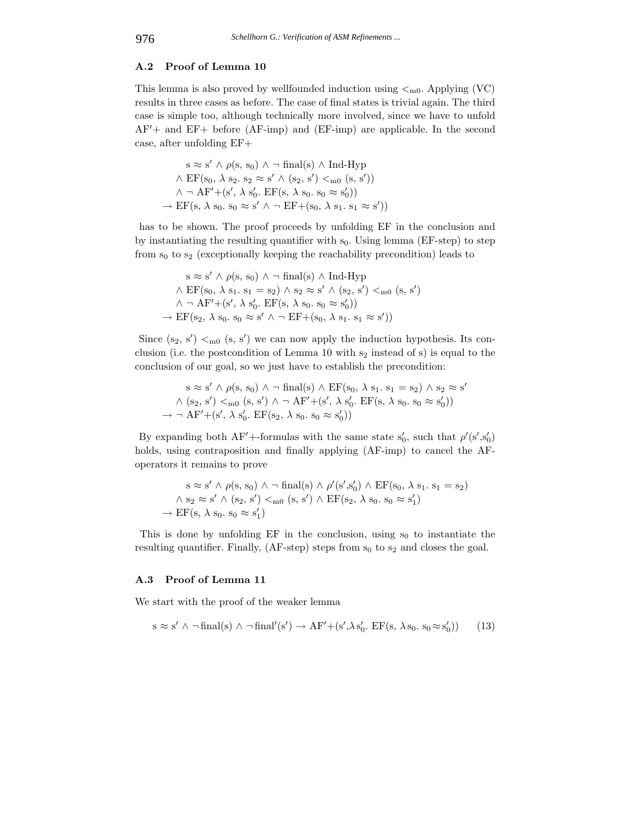# **A.2 Proof of Lemma 10**

This lemma is also proved by wellfounded induction using  $\lt_{m0}$ . Applying (VC) results in three cases as before. The case of final states is trivial again. The third case is simple too, although technically more involved, since we have to unfold AF + and EF+ before (AF-imp) and (EF-imp) are applicable. In the second case, after unfolding EF+

$$
s \approx s' \land \rho(s, s_0) \land \neg final(s) \land Ind-Hyp
$$
  
 
$$
\land EF(s_0, \lambda s_2, s_2 \approx s' \land (s_2, s') <_{m0} (s, s'))
$$
  
 
$$
\land \neg AF' + (s', \lambda s'_0. EF(s, \lambda s_0, s_0 \approx s'_0))
$$
  
 
$$
\rightarrow EF(s, \lambda s_0, s_0 \approx s' \land \neg EF + (s_0, \lambda s_1, s_1 \approx s'))
$$

has to be shown. The proof proceeds by unfolding EF in the conclusion and by instantiating the resulting quantifier with  $s_0$ . Using lemma (EF-step) to step from  $s_0$  to  $s_2$  (exceptionally keeping the reachability precondition) leads to

$$
s \approx s' \land \rho(s, s_0) \land \neg \text{ final}(s) \land \text{Ind-Hyp}
$$
  
 
$$
\land EF(s_0, \lambda s_1, s_1 = s_2) \land s_2 \approx s' \land (s_2, s') <_{m0} (s, s')
$$
  
 
$$
\land \neg AF' + (s', \lambda s'_0, EF(s, \lambda s_0, s_0 \approx s'_0))
$$
  
 
$$
\rightarrow EF(s_2, \lambda s_0, s_0 \approx s' \land \neg EF + (s_0, \lambda s_1, s_1 \approx s'))
$$

Since  $(s_2, s') <_{m0} (s, s')$  we can now apply the induction hypothesis. Its conclusion (i.e. the postcondition of Lemma 10 with  $s_2$  instead of s) is equal to the conclusion of our goal, so we just have to establish the precondition:

$$
s \approx s' \land \rho(s, s_0) \land \neg \text{ final}(s) \land EF(s_0, \lambda s_1, s_1 = s_2) \land s_2 \approx s'
$$
  
 
$$
\land (s_2, s') <_{m0} (s, s') \land \neg AF' + (s', \lambda s'_0, EF(s, \lambda s_0, s_0 \approx s'_0))
$$
  
\n
$$
\rightarrow \neg AF' + (s', \lambda s'_0, EF(s_2, \lambda s_0, s_0 \approx s'_0))
$$

By expanding both AF'+-formulas with the same state  $s'_0$ , such that  $\rho'(s', s'_0)$ holds, using contraposition and finally applying (AF-imp) to cancel the AFoperators it remains to prove

$$
s \approx s' \land \rho(s, s_0) \land \neg \text{ final}(s) \land \rho'(s', s'_0) \land EF(s_0, \lambda s_1, s_1 = s_2)
$$
  

$$
\land s_2 \approx s' \land (s_2, s') <_{m0} (s, s') \land EF(s_2, \lambda s_0, s_0 \approx s'_1)
$$
  

$$
\rightarrow EF(s, \lambda s_0, s_0 \approx s'_1)
$$

This is done by unfolding  $EF$  in the conclusion, using  $s_0$  to instantiate the resulting quantifier. Finally,  $(AF-step)$  steps from  $s_0$  to  $s_2$  and closes the goal.

#### **A.3 Proof of Lemma 11**

We start with the proof of the weaker lemma

$$
s \approx s' \land \neg final(s) \land \neg final'(s') \to AF' + (s', \lambda s'_0. EF(s, \lambda s_0. s_0 \approx s'_0))
$$
 (13)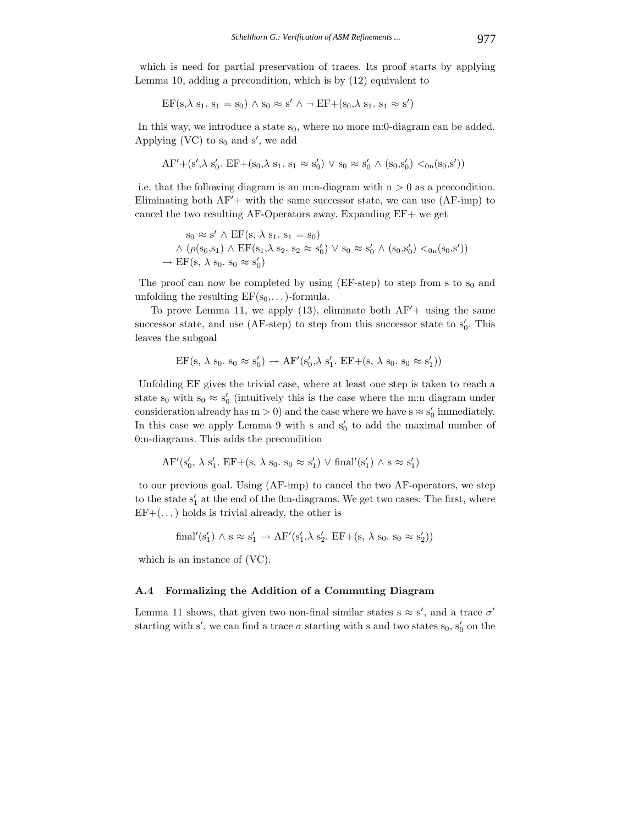which is need for partial preservation of traces. Its proof starts by applying Lemma 10, adding a precondition, which is by (12) equivalent to

$$
EF(s, \lambda s_1, s_1 = s_0) \land s_0 \approx s' \land \neg EF + (s_0, \lambda s_1, s_1 \approx s')
$$

In this way, we introduce a state  $s_0$ , where no more m:0-diagram can be added. Applying (VC) to  $s_0$  and  $s'$ , we add

$$
AF' + (s', \lambda s'_0. EF + (s_0, \lambda s_1. s_1 \approx s'_0) \vee s_0 \approx s'_0 \wedge (s_0, s'_0) <_{0n}(s_0, s'))
$$

i.e. that the following diagram is an m:n-diagram with  $n > 0$  as a precondition. Eliminating both  $AF'$  + with the same successor state, we can use  $(AF-imp)$  to cancel the two resulting AF-Operators away. Expanding EF+ we get

$$
s_0 \approx s' \land EF(s, \lambda s_1, s_1 = s_0)
$$
  
 
$$
\land (\rho(s_0, s_1) \land EF(s_1, \lambda s_2, s_2 \approx s'_0) \lor s_0 \approx s'_0 \land (s_0, s'_0) <_{0} (s_0, s'))
$$
  
\n
$$
\rightarrow EF(s, \lambda s_0, s_0 \approx s'_0)
$$

The proof can now be completed by using  $(EF-step)$  to step from s to s<sub>0</sub> and unfolding the resulting  $EF(s_0,...)$ -formula.

To prove Lemma 11, we apply  $(13)$ , eliminate both  $AF'$ + using the same successor state, and use  $(AF-step)$  to step from this successor state to  $s'_0$ . This leaves the subgoal

$$
EF(s, \lambda s_0, s_0 \approx s'_0) \rightarrow AF'(s'_0, \lambda s'_1, EF + (s, \lambda s_0, s_0 \approx s'_1))
$$

Unfolding EF gives the trivial case, where at least one step is taken to reach a state  $s_0$  with  $s_0 \approx s'_0$  (intuitively this is the case where the m:n diagram under consideration already has  $m > 0$ ) and the case where we have  $s \approx s'_0$  immediately. In this case we apply Lemma 9 with s and  $s'_0$  to add the maximal number of 0:n-diagrams. This adds the precondition

$$
AF'(s'_0, \lambda s'_1. EF + (s, \lambda s_0. s_0 \approx s'_1) \vee final'(s'_1) \wedge s \approx s'_1)
$$

to our previous goal. Using (AF-imp) to cancel the two AF-operators, we step to the state  $s'_1$  at the end of the 0:n-diagrams. We get two cases: The first, where  $EF+(\dots)$  holds is trivial already, the other is

$$
final'(s'_1) \wedge s \approx s'_1 \rightarrow AF'(s'_1, \lambda s'_2. EF + (s, \lambda s_0. s_0 \approx s'_2))
$$

which is an instance of (VC).

## **A.4 Formalizing the Addition of a Commuting Diagram**

Lemma 11 shows, that given two non-final similar states  $s \approx s'$ , and a trace  $\sigma'$ starting with s', we can find a trace  $\sigma$  starting with s and two states  $s_0$ ,  $s'_0$  on the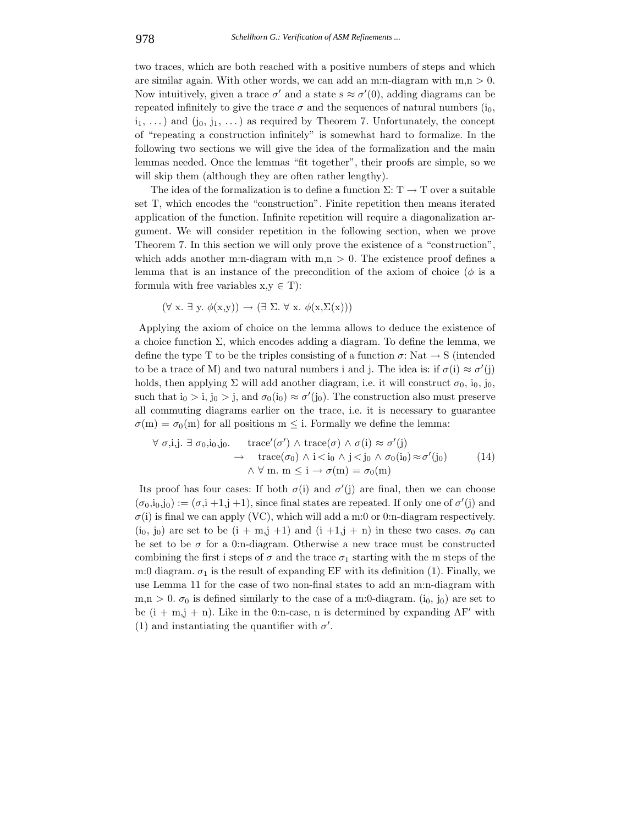two traces, which are both reached with a positive numbers of steps and which are similar again. With other words, we can add an m:n-diagram with  $m,n > 0$ . Now intuitively, given a trace  $\sigma'$  and a state  $s \approx \sigma'(0)$ , adding diagrams can be repeated infinitely to give the trace  $\sigma$  and the sequences of natural numbers (i<sub>0</sub>,  $i_1, \ldots$ ) and  $(i_0, j_1, \ldots)$  as required by Theorem 7. Unfortunately, the concept of "repeating a construction infinitely" is somewhat hard to formalize. In the following two sections we will give the idea of the formalization and the main lemmas needed. Once the lemmas "fit together", their proofs are simple, so we will skip them (although they are often rather lengthy).

The idea of the formalization is to define a function  $\Sigma: T \to T$  over a suitable set T, which encodes the "construction". Finite repetition then means iterated application of the function. Infinite repetition will require a diagonalization argument. We will consider repetition in the following section, when we prove Theorem 7. In this section we will only prove the existence of a "construction", which adds another m:n-diagram with  $m,n > 0$ . The existence proof defines a lemma that is an instance of the precondition of the axiom of choice ( $\phi$  is a formula with free variables  $x, y \in T$ :

$$
(\forall x. \exists y. \phi(x,y)) \rightarrow (\exists \Sigma. \forall x. \phi(x,\Sigma(x)))
$$

Applying the axiom of choice on the lemma allows to deduce the existence of a choice function  $\Sigma$ , which encodes adding a diagram. To define the lemma, we define the type T to be the triples consisting of a function  $\sigma$ : Nat  $\rightarrow$  S (intended to be a trace of M) and two natural numbers i and j. The idea is: if  $\sigma(i) \approx \sigma'(j)$ holds, then applying  $\Sigma$  will add another diagram, i.e. it will construct  $\sigma_0$ , i<sub>0</sub>, j<sub>0</sub>, such that  $i_0 > i$ ,  $j_0 > j$ , and  $\sigma_0(i_0) \approx \sigma'(j_0)$ . The construction also must preserve all commuting diagrams earlier on the trace, i.e. it is necessary to guarantee  $\sigma(m) = \sigma_0(m)$  for all positions  $m \leq i$ . Formally we define the lemma:

$$
\forall \sigma, i, j. \exists \sigma_0, i_0, j_0. \quad \text{trace}'(\sigma') \land \text{trace}(\sigma) \land \sigma(i) \approx \sigma'(j) \n\rightarrow \quad \text{trace}(\sigma_0) \land i < i_0 \land j < j_0 \land \sigma_0(i_0) \approx \sigma'(j_0) \n\land \forall \text{ m. m} \leq i \rightarrow \sigma(\text{m}) = \sigma_0(\text{m})
$$
\n(14)

Its proof has four cases: If both  $\sigma(i)$  and  $\sigma'(j)$  are final, then we can choose  $(\sigma_0, i_0, j_0) := (\sigma, i +1, j +1)$ , since final states are repeated. If only one of  $\sigma'(j)$  and  $\sigma(i)$  is final we can apply (VC), which will add a m:0 or 0:n-diagram respectively.  $(i_0, j_0)$  are set to be  $(i + m, j + 1)$  and  $(i + 1, j + n)$  in these two cases.  $\sigma_0$  can be set to be  $\sigma$  for a 0:n-diagram. Otherwise a new trace must be constructed combining the first i steps of  $\sigma$  and the trace  $\sigma_1$  starting with the m steps of the m:0 diagram.  $\sigma_1$  is the result of expanding EF with its definition (1). Finally, we use Lemma 11 for the case of two non-final states to add an m:n-diagram with  $m,n > 0$ .  $\sigma_0$  is defined similarly to the case of a m:0-diagram.  $(i_0, j_0)$  are set to be  $(i + m, j + n)$ . Like in the 0:n-case, n is determined by expanding AF' with (1) and instantiating the quantifier with  $\sigma'$ .